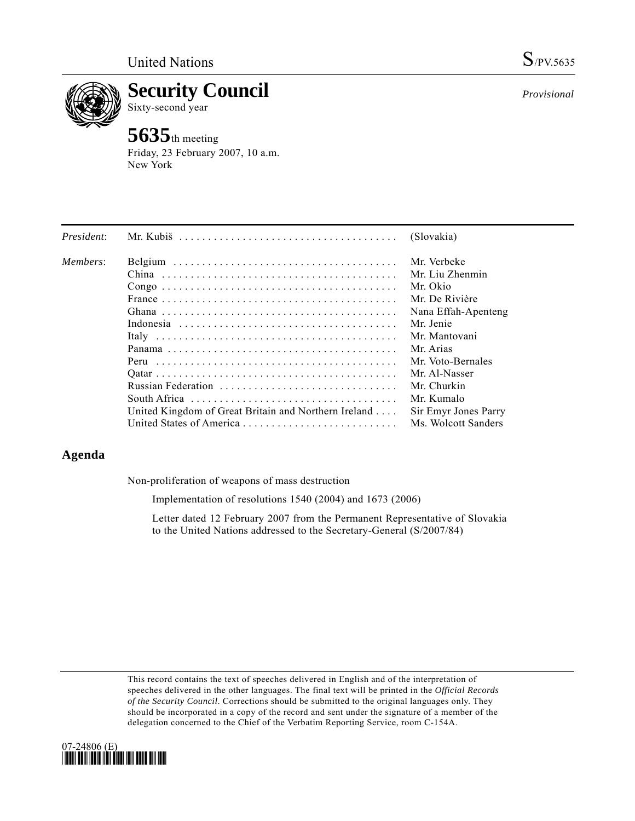

**Security Council** 

Sixty-second year

# **5635**th meeting

Friday, 23 February 2007, 10 a.m. New York

| President: |                                                      | (Slovakia)           |
|------------|------------------------------------------------------|----------------------|
| Members:   |                                                      | Mr. Verbeke          |
|            |                                                      | Mr. Liu Zhenmin      |
|            |                                                      | Mr. Okio             |
|            |                                                      | Mr. De Rivière       |
|            |                                                      | Nana Effah-Apenteng  |
|            |                                                      | Mr. Jenie            |
|            |                                                      | Mr. Mantovani        |
|            |                                                      | Mr. Arias            |
|            |                                                      | Mr. Voto-Bernales    |
|            |                                                      | Mr. Al-Nasser        |
|            |                                                      | Mr. Churkin          |
|            |                                                      | Mr. Kumalo           |
|            | United Kingdom of Great Britain and Northern Ireland | Sir Emyr Jones Parry |
|            |                                                      | Ms. Wolcott Sanders  |

## **Agenda**

Non-proliferation of weapons of mass destruction

Implementation of resolutions 1540 (2004) and 1673 (2006)

 Letter dated 12 February 2007 from the Permanent Representative of Slovakia to the United Nations addressed to the Secretary-General (S/2007/84)

This record contains the text of speeches delivered in English and of the interpretation of speeches delivered in the other languages. The final text will be printed in the *Official Records of the Security Council*. Corrections should be submitted to the original languages only. They should be incorporated in a copy of the record and sent under the signature of a member of the delegation concerned to the Chief of the Verbatim Reporting Service, room C-154A.



*Provisional*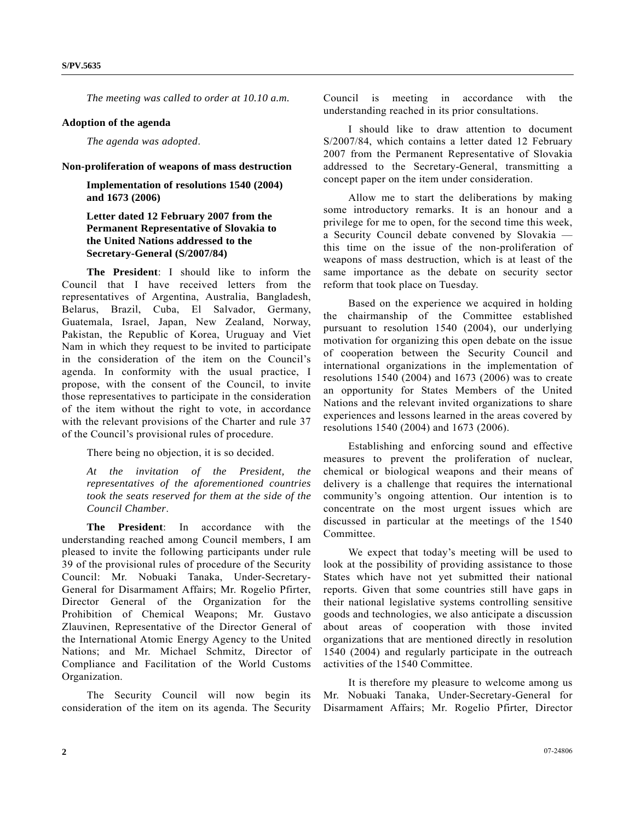*The meeting was called to order at 10.10 a.m.* 

#### **Adoption of the agenda**

*The agenda was adopted*.

## **Non-proliferation of weapons of mass destruction**

 **Implementation of resolutions 1540 (2004) and 1673 (2006)** 

## **Letter dated 12 February 2007 from the Permanent Representative of Slovakia to the United Nations addressed to the Secretary-General (S/2007/84)**

 **The President**: I should like to inform the Council that I have received letters from the representatives of Argentina, Australia, Bangladesh, Belarus, Brazil, Cuba, El Salvador, Germany, Guatemala, Israel, Japan, New Zealand, Norway, Pakistan, the Republic of Korea, Uruguay and Viet Nam in which they request to be invited to participate in the consideration of the item on the Council's agenda. In conformity with the usual practice, I propose, with the consent of the Council, to invite those representatives to participate in the consideration of the item without the right to vote, in accordance with the relevant provisions of the Charter and rule 37 of the Council's provisional rules of procedure.

There being no objection, it is so decided.

*At the invitation of the President, the representatives of the aforementioned countries took the seats reserved for them at the side of the Council Chamber*.

 **The President**: In accordance with the understanding reached among Council members, I am pleased to invite the following participants under rule 39 of the provisional rules of procedure of the Security Council: Mr. Nobuaki Tanaka, Under-Secretary-General for Disarmament Affairs; Mr. Rogelio Pfirter, Director General of the Organization for the Prohibition of Chemical Weapons; Mr. Gustavo Zlauvinen, Representative of the Director General of the International Atomic Energy Agency to the United Nations; and Mr. Michael Schmitz, Director of Compliance and Facilitation of the World Customs Organization.

 The Security Council will now begin its consideration of the item on its agenda. The Security Council is meeting in accordance with the understanding reached in its prior consultations.

 I should like to draw attention to document S/2007/84, which contains a letter dated 12 February 2007 from the Permanent Representative of Slovakia addressed to the Secretary-General, transmitting a concept paper on the item under consideration.

 Allow me to start the deliberations by making some introductory remarks. It is an honour and a privilege for me to open, for the second time this week, a Security Council debate convened by Slovakia this time on the issue of the non-proliferation of weapons of mass destruction, which is at least of the same importance as the debate on security sector reform that took place on Tuesday.

 Based on the experience we acquired in holding the chairmanship of the Committee established pursuant to resolution 1540 (2004), our underlying motivation for organizing this open debate on the issue of cooperation between the Security Council and international organizations in the implementation of resolutions 1540 (2004) and 1673 (2006) was to create an opportunity for States Members of the United Nations and the relevant invited organizations to share experiences and lessons learned in the areas covered by resolutions 1540 (2004) and 1673 (2006).

 Establishing and enforcing sound and effective measures to prevent the proliferation of nuclear, chemical or biological weapons and their means of delivery is a challenge that requires the international community's ongoing attention. Our intention is to concentrate on the most urgent issues which are discussed in particular at the meetings of the 1540 Committee.

 We expect that today's meeting will be used to look at the possibility of providing assistance to those States which have not yet submitted their national reports. Given that some countries still have gaps in their national legislative systems controlling sensitive goods and technologies, we also anticipate a discussion about areas of cooperation with those invited organizations that are mentioned directly in resolution 1540 (2004) and regularly participate in the outreach activities of the 1540 Committee.

 It is therefore my pleasure to welcome among us Mr. Nobuaki Tanaka, Under-Secretary-General for Disarmament Affairs; Mr. Rogelio Pfirter, Director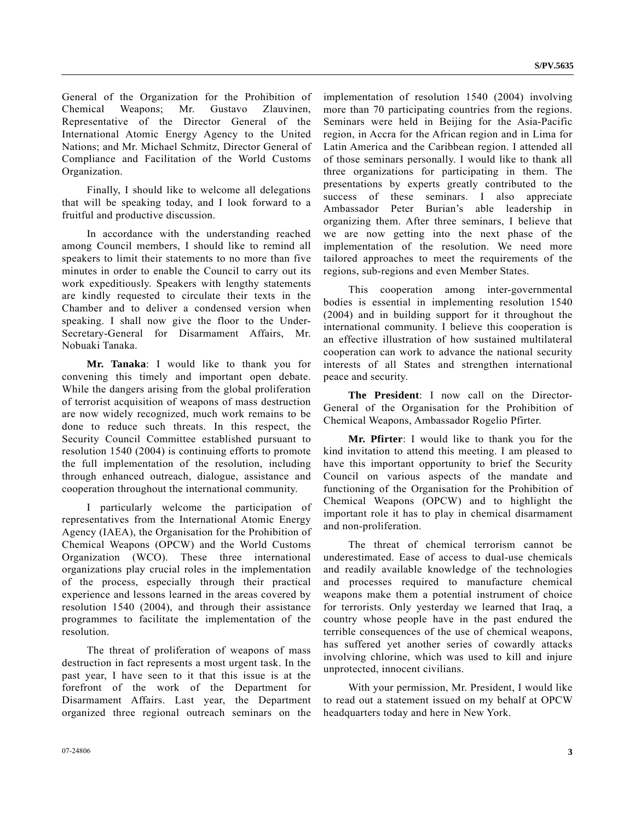General of the Organization for the Prohibition of Chemical Weapons; Mr. Gustavo Zlauvinen, Representative of the Director General of the International Atomic Energy Agency to the United Nations; and Mr. Michael Schmitz, Director General of Compliance and Facilitation of the World Customs Organization.

 Finally, I should like to welcome all delegations that will be speaking today, and I look forward to a fruitful and productive discussion.

 In accordance with the understanding reached among Council members, I should like to remind all speakers to limit their statements to no more than five minutes in order to enable the Council to carry out its work expeditiously. Speakers with lengthy statements are kindly requested to circulate their texts in the Chamber and to deliver a condensed version when speaking. I shall now give the floor to the Under-Secretary-General for Disarmament Affairs, Mr. Nobuaki Tanaka.

 **Mr. Tanaka**: I would like to thank you for convening this timely and important open debate. While the dangers arising from the global proliferation of terrorist acquisition of weapons of mass destruction are now widely recognized, much work remains to be done to reduce such threats. In this respect, the Security Council Committee established pursuant to resolution 1540 (2004) is continuing efforts to promote the full implementation of the resolution, including through enhanced outreach, dialogue, assistance and cooperation throughout the international community.

 I particularly welcome the participation of representatives from the International Atomic Energy Agency (IAEA), the Organisation for the Prohibition of Chemical Weapons (OPCW) and the World Customs Organization (WCO). These three international organizations play crucial roles in the implementation of the process, especially through their practical experience and lessons learned in the areas covered by resolution 1540 (2004), and through their assistance programmes to facilitate the implementation of the resolution.

 The threat of proliferation of weapons of mass destruction in fact represents a most urgent task. In the past year, I have seen to it that this issue is at the forefront of the work of the Department for Disarmament Affairs. Last year, the Department organized three regional outreach seminars on the

implementation of resolution 1540 (2004) involving more than 70 participating countries from the regions. Seminars were held in Beijing for the Asia-Pacific region, in Accra for the African region and in Lima for Latin America and the Caribbean region. I attended all of those seminars personally. I would like to thank all three organizations for participating in them. The presentations by experts greatly contributed to the success of these seminars. I also appreciate Ambassador Peter Burian's able leadership in organizing them. After three seminars, I believe that we are now getting into the next phase of the implementation of the resolution. We need more tailored approaches to meet the requirements of the regions, sub-regions and even Member States.

 This cooperation among inter-governmental bodies is essential in implementing resolution 1540 (2004) and in building support for it throughout the international community. I believe this cooperation is an effective illustration of how sustained multilateral cooperation can work to advance the national security interests of all States and strengthen international peace and security.

**The President**: I now call on the Director-General of the Organisation for the Prohibition of Chemical Weapons, Ambassador Rogelio Pfirter.

 **Mr. Pfirter**: I would like to thank you for the kind invitation to attend this meeting. I am pleased to have this important opportunity to brief the Security Council on various aspects of the mandate and functioning of the Organisation for the Prohibition of Chemical Weapons (OPCW) and to highlight the important role it has to play in chemical disarmament and non-proliferation.

 The threat of chemical terrorism cannot be underestimated. Ease of access to dual-use chemicals and readily available knowledge of the technologies and processes required to manufacture chemical weapons make them a potential instrument of choice for terrorists. Only yesterday we learned that Iraq, a country whose people have in the past endured the terrible consequences of the use of chemical weapons, has suffered yet another series of cowardly attacks involving chlorine, which was used to kill and injure unprotected, innocent civilians.

 With your permission, Mr. President, I would like to read out a statement issued on my behalf at OPCW headquarters today and here in New York.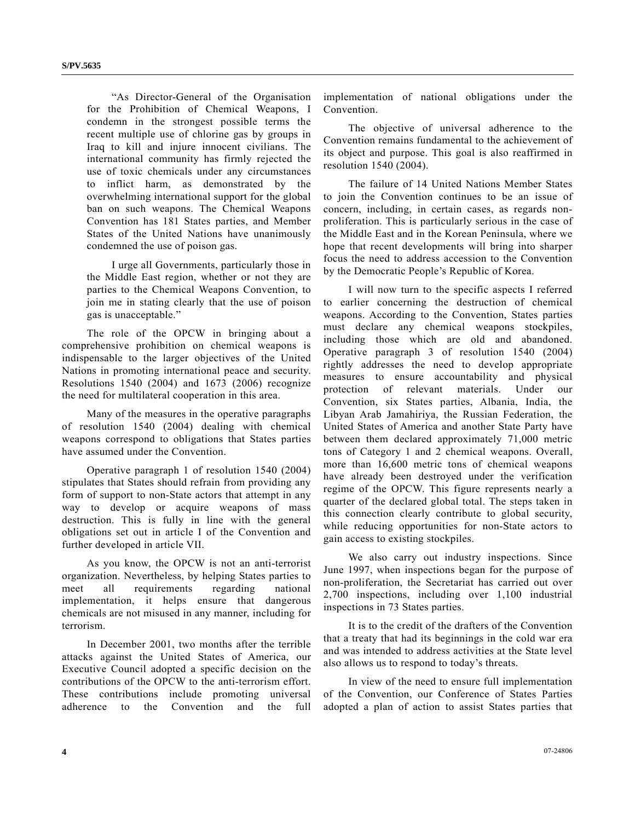"As Director-General of the Organisation for the Prohibition of Chemical Weapons, I condemn in the strongest possible terms the recent multiple use of chlorine gas by groups in Iraq to kill and injure innocent civilians. The international community has firmly rejected the use of toxic chemicals under any circumstances to inflict harm, as demonstrated by the overwhelming international support for the global ban on such weapons. The Chemical Weapons Convention has 181 States parties, and Member States of the United Nations have unanimously condemned the use of poison gas.

 I urge all Governments, particularly those in the Middle East region, whether or not they are parties to the Chemical Weapons Convention, to join me in stating clearly that the use of poison gas is unacceptable."

 The role of the OPCW in bringing about a comprehensive prohibition on chemical weapons is indispensable to the larger objectives of the United Nations in promoting international peace and security. Resolutions 1540 (2004) and 1673 (2006) recognize the need for multilateral cooperation in this area.

 Many of the measures in the operative paragraphs of resolution 1540 (2004) dealing with chemical weapons correspond to obligations that States parties have assumed under the Convention.

 Operative paragraph 1 of resolution 1540 (2004) stipulates that States should refrain from providing any form of support to non-State actors that attempt in any way to develop or acquire weapons of mass destruction. This is fully in line with the general obligations set out in article I of the Convention and further developed in article VII.

 As you know, the OPCW is not an anti-terrorist organization. Nevertheless, by helping States parties to meet all requirements regarding national implementation, it helps ensure that dangerous chemicals are not misused in any manner, including for terrorism.

 In December 2001, two months after the terrible attacks against the United States of America, our Executive Council adopted a specific decision on the contributions of the OPCW to the anti-terrorism effort. These contributions include promoting universal adherence to the Convention and the full

implementation of national obligations under the Convention.

 The objective of universal adherence to the Convention remains fundamental to the achievement of its object and purpose. This goal is also reaffirmed in resolution 1540 (2004).

 The failure of 14 United Nations Member States to join the Convention continues to be an issue of concern, including, in certain cases, as regards nonproliferation. This is particularly serious in the case of the Middle East and in the Korean Peninsula, where we hope that recent developments will bring into sharper focus the need to address accession to the Convention by the Democratic People's Republic of Korea.

 I will now turn to the specific aspects I referred to earlier concerning the destruction of chemical weapons. According to the Convention, States parties must declare any chemical weapons stockpiles, including those which are old and abandoned. Operative paragraph 3 of resolution 1540 (2004) rightly addresses the need to develop appropriate measures to ensure accountability and physical protection of relevant materials. Under our Convention, six States parties, Albania, India, the Libyan Arab Jamahiriya, the Russian Federation, the United States of America and another State Party have between them declared approximately 71,000 metric tons of Category 1 and 2 chemical weapons. Overall, more than 16,600 metric tons of chemical weapons have already been destroyed under the verification regime of the OPCW. This figure represents nearly a quarter of the declared global total. The steps taken in this connection clearly contribute to global security, while reducing opportunities for non-State actors to gain access to existing stockpiles.

 We also carry out industry inspections. Since June 1997, when inspections began for the purpose of non-proliferation, the Secretariat has carried out over 2,700 inspections, including over 1,100 industrial inspections in 73 States parties.

 It is to the credit of the drafters of the Convention that a treaty that had its beginnings in the cold war era and was intended to address activities at the State level also allows us to respond to today's threats.

 In view of the need to ensure full implementation of the Convention, our Conference of States Parties adopted a plan of action to assist States parties that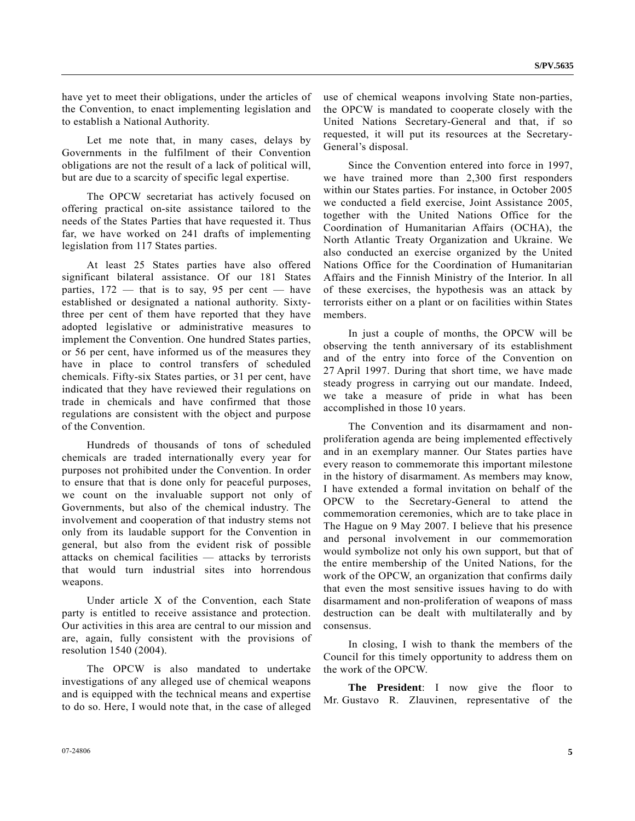have yet to meet their obligations, under the articles of the Convention, to enact implementing legislation and to establish a National Authority.

 Let me note that, in many cases, delays by Governments in the fulfilment of their Convention obligations are not the result of a lack of political will, but are due to a scarcity of specific legal expertise.

 The OPCW secretariat has actively focused on offering practical on-site assistance tailored to the needs of the States Parties that have requested it. Thus far, we have worked on 241 drafts of implementing legislation from 117 States parties.

 At least 25 States parties have also offered significant bilateral assistance. Of our 181 States parties,  $172$  — that is to say, 95 per cent — have established or designated a national authority. Sixtythree per cent of them have reported that they have adopted legislative or administrative measures to implement the Convention. One hundred States parties, or 56 per cent, have informed us of the measures they have in place to control transfers of scheduled chemicals. Fifty-six States parties, or 31 per cent, have indicated that they have reviewed their regulations on trade in chemicals and have confirmed that those regulations are consistent with the object and purpose of the Convention.

 Hundreds of thousands of tons of scheduled chemicals are traded internationally every year for purposes not prohibited under the Convention. In order to ensure that that is done only for peaceful purposes, we count on the invaluable support not only of Governments, but also of the chemical industry. The involvement and cooperation of that industry stems not only from its laudable support for the Convention in general, but also from the evident risk of possible attacks on chemical facilities — attacks by terrorists that would turn industrial sites into horrendous weapons.

 Under article X of the Convention, each State party is entitled to receive assistance and protection. Our activities in this area are central to our mission and are, again, fully consistent with the provisions of resolution 1540 (2004).

 The OPCW is also mandated to undertake investigations of any alleged use of chemical weapons and is equipped with the technical means and expertise to do so. Here, I would note that, in the case of alleged use of chemical weapons involving State non-parties, the OPCW is mandated to cooperate closely with the United Nations Secretary-General and that, if so requested, it will put its resources at the Secretary-General's disposal.

 Since the Convention entered into force in 1997, we have trained more than 2,300 first responders within our States parties. For instance, in October 2005 we conducted a field exercise, Joint Assistance 2005, together with the United Nations Office for the Coordination of Humanitarian Affairs (OCHA), the North Atlantic Treaty Organization and Ukraine. We also conducted an exercise organized by the United Nations Office for the Coordination of Humanitarian Affairs and the Finnish Ministry of the Interior. In all of these exercises, the hypothesis was an attack by terrorists either on a plant or on facilities within States members.

 In just a couple of months, the OPCW will be observing the tenth anniversary of its establishment and of the entry into force of the Convention on 27 April 1997. During that short time, we have made steady progress in carrying out our mandate. Indeed, we take a measure of pride in what has been accomplished in those 10 years.

 The Convention and its disarmament and nonproliferation agenda are being implemented effectively and in an exemplary manner. Our States parties have every reason to commemorate this important milestone in the history of disarmament. As members may know, I have extended a formal invitation on behalf of the OPCW to the Secretary-General to attend the commemoration ceremonies, which are to take place in The Hague on 9 May 2007. I believe that his presence and personal involvement in our commemoration would symbolize not only his own support, but that of the entire membership of the United Nations, for the work of the OPCW, an organization that confirms daily that even the most sensitive issues having to do with disarmament and non-proliferation of weapons of mass destruction can be dealt with multilaterally and by consensus.

 In closing, I wish to thank the members of the Council for this timely opportunity to address them on the work of the OPCW.

**The President**: I now give the floor to Mr. Gustavo R. Zlauvinen, representative of the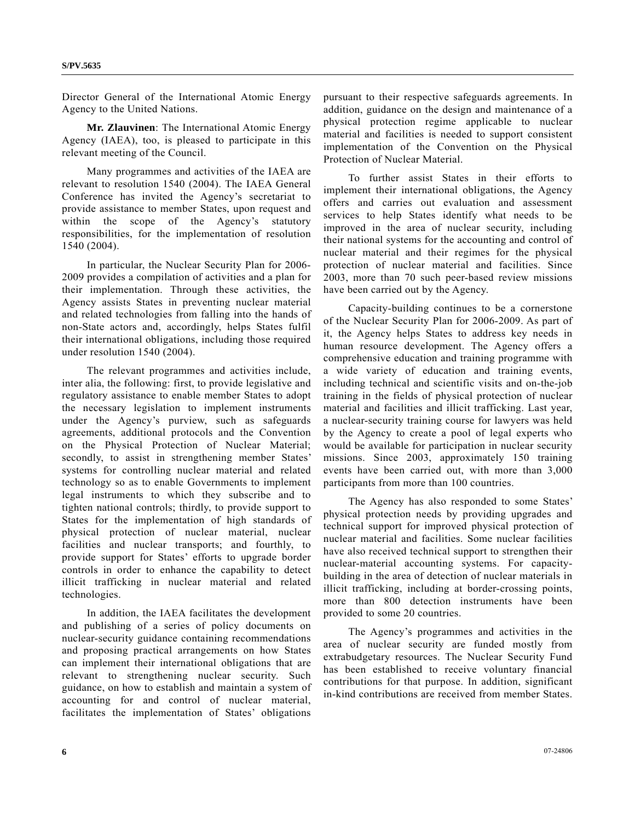Director General of the International Atomic Energy Agency to the United Nations.

 **Mr. Zlauvinen**: The International Atomic Energy Agency (IAEA), too, is pleased to participate in this relevant meeting of the Council.

 Many programmes and activities of the IAEA are relevant to resolution 1540 (2004). The IAEA General Conference has invited the Agency's secretariat to provide assistance to member States, upon request and within the scope of the Agency's statutory responsibilities, for the implementation of resolution 1540 (2004).

 In particular, the Nuclear Security Plan for 2006- 2009 provides a compilation of activities and a plan for their implementation. Through these activities, the Agency assists States in preventing nuclear material and related technologies from falling into the hands of non-State actors and, accordingly, helps States fulfil their international obligations, including those required under resolution 1540 (2004).

 The relevant programmes and activities include, inter alia, the following: first, to provide legislative and regulatory assistance to enable member States to adopt the necessary legislation to implement instruments under the Agency's purview, such as safeguards agreements, additional protocols and the Convention on the Physical Protection of Nuclear Material; secondly, to assist in strengthening member States' systems for controlling nuclear material and related technology so as to enable Governments to implement legal instruments to which they subscribe and to tighten national controls; thirdly, to provide support to States for the implementation of high standards of physical protection of nuclear material, nuclear facilities and nuclear transports; and fourthly, to provide support for States' efforts to upgrade border controls in order to enhance the capability to detect illicit trafficking in nuclear material and related technologies.

 In addition, the IAEA facilitates the development and publishing of a series of policy documents on nuclear-security guidance containing recommendations and proposing practical arrangements on how States can implement their international obligations that are relevant to strengthening nuclear security. Such guidance, on how to establish and maintain a system of accounting for and control of nuclear material, facilitates the implementation of States' obligations

pursuant to their respective safeguards agreements. In addition, guidance on the design and maintenance of a physical protection regime applicable to nuclear material and facilities is needed to support consistent implementation of the Convention on the Physical Protection of Nuclear Material.

 To further assist States in their efforts to implement their international obligations, the Agency offers and carries out evaluation and assessment services to help States identify what needs to be improved in the area of nuclear security, including their national systems for the accounting and control of nuclear material and their regimes for the physical protection of nuclear material and facilities. Since 2003, more than 70 such peer-based review missions have been carried out by the Agency.

 Capacity-building continues to be a cornerstone of the Nuclear Security Plan for 2006-2009. As part of it, the Agency helps States to address key needs in human resource development. The Agency offers a comprehensive education and training programme with a wide variety of education and training events, including technical and scientific visits and on-the-job training in the fields of physical protection of nuclear material and facilities and illicit trafficking. Last year, a nuclear-security training course for lawyers was held by the Agency to create a pool of legal experts who would be available for participation in nuclear security missions. Since 2003, approximately 150 training events have been carried out, with more than 3,000 participants from more than 100 countries.

 The Agency has also responded to some States' physical protection needs by providing upgrades and technical support for improved physical protection of nuclear material and facilities. Some nuclear facilities have also received technical support to strengthen their nuclear-material accounting systems. For capacitybuilding in the area of detection of nuclear materials in illicit trafficking, including at border-crossing points, more than 800 detection instruments have been provided to some 20 countries.

 The Agency's programmes and activities in the area of nuclear security are funded mostly from extrabudgetary resources. The Nuclear Security Fund has been established to receive voluntary financial contributions for that purpose. In addition, significant in-kind contributions are received from member States.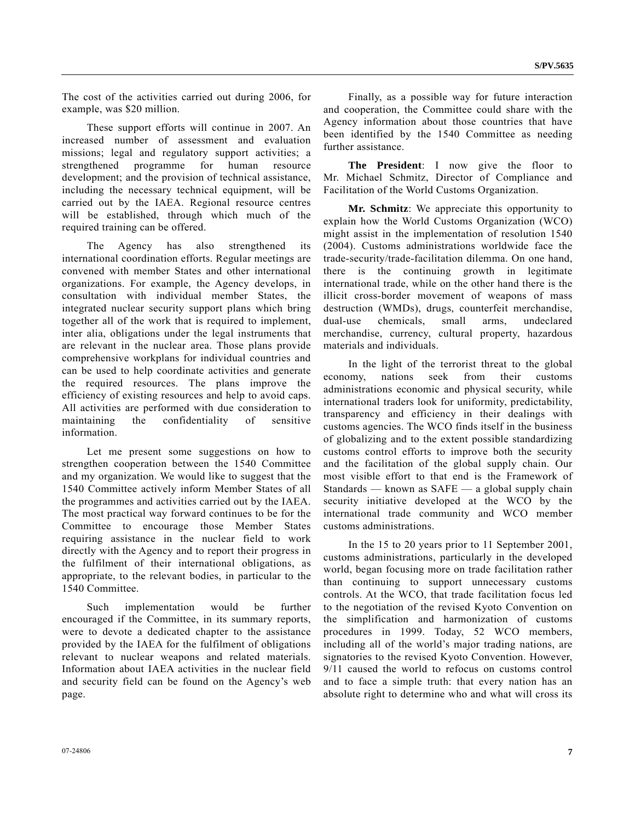The cost of the activities carried out during 2006, for example, was \$20 million.

 These support efforts will continue in 2007. An increased number of assessment and evaluation missions; legal and regulatory support activities; a strengthened programme for human resource development; and the provision of technical assistance, including the necessary technical equipment, will be carried out by the IAEA. Regional resource centres will be established, through which much of the required training can be offered.

 The Agency has also strengthened its international coordination efforts. Regular meetings are convened with member States and other international organizations. For example, the Agency develops, in consultation with individual member States, the integrated nuclear security support plans which bring together all of the work that is required to implement, inter alia, obligations under the legal instruments that are relevant in the nuclear area. Those plans provide comprehensive workplans for individual countries and can be used to help coordinate activities and generate the required resources. The plans improve the efficiency of existing resources and help to avoid caps. All activities are performed with due consideration to maintaining the confidentiality of sensitive information.

 Let me present some suggestions on how to strengthen cooperation between the 1540 Committee and my organization. We would like to suggest that the 1540 Committee actively inform Member States of all the programmes and activities carried out by the IAEA. The most practical way forward continues to be for the Committee to encourage those Member States requiring assistance in the nuclear field to work directly with the Agency and to report their progress in the fulfilment of their international obligations, as appropriate, to the relevant bodies, in particular to the 1540 Committee.

 Such implementation would be further encouraged if the Committee, in its summary reports, were to devote a dedicated chapter to the assistance provided by the IAEA for the fulfilment of obligations relevant to nuclear weapons and related materials. Information about IAEA activities in the nuclear field and security field can be found on the Agency's web page.

 Finally, as a possible way for future interaction and cooperation, the Committee could share with the Agency information about those countries that have been identified by the 1540 Committee as needing further assistance.

**The President**: I now give the floor to Mr. Michael Schmitz, Director of Compliance and Facilitation of the World Customs Organization.

**Mr. Schmitz**: We appreciate this opportunity to explain how the World Customs Organization (WCO) might assist in the implementation of resolution 1540 (2004). Customs administrations worldwide face the trade-security/trade-facilitation dilemma. On one hand, there is the continuing growth in legitimate international trade, while on the other hand there is the illicit cross-border movement of weapons of mass destruction (WMDs), drugs, counterfeit merchandise, dual-use chemicals, small arms, undeclared merchandise, currency, cultural property, hazardous materials and individuals.

 In the light of the terrorist threat to the global economy, nations seek from their customs administrations economic and physical security, while international traders look for uniformity, predictability, transparency and efficiency in their dealings with customs agencies. The WCO finds itself in the business of globalizing and to the extent possible standardizing customs control efforts to improve both the security and the facilitation of the global supply chain. Our most visible effort to that end is the Framework of Standards — known as  $SAFE$  — a global supply chain security initiative developed at the WCO by the international trade community and WCO member customs administrations.

 In the 15 to 20 years prior to 11 September 2001, customs administrations, particularly in the developed world, began focusing more on trade facilitation rather than continuing to support unnecessary customs controls. At the WCO, that trade facilitation focus led to the negotiation of the revised Kyoto Convention on the simplification and harmonization of customs procedures in 1999. Today, 52 WCO members, including all of the world's major trading nations, are signatories to the revised Kyoto Convention. However, 9/11 caused the world to refocus on customs control and to face a simple truth: that every nation has an absolute right to determine who and what will cross its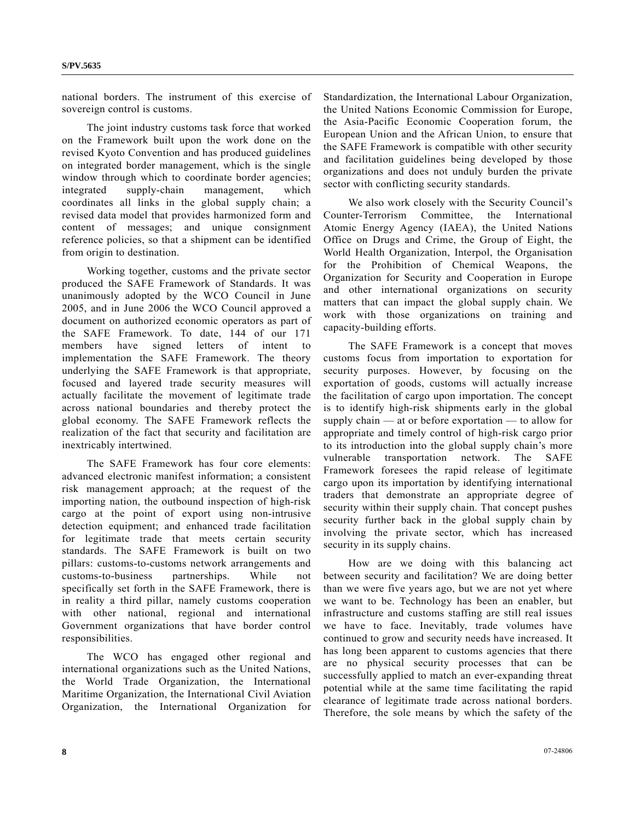national borders. The instrument of this exercise of sovereign control is customs.

 The joint industry customs task force that worked on the Framework built upon the work done on the revised Kyoto Convention and has produced guidelines on integrated border management, which is the single window through which to coordinate border agencies; integrated supply-chain management, which coordinates all links in the global supply chain; a revised data model that provides harmonized form and content of messages; and unique consignment reference policies, so that a shipment can be identified from origin to destination.

 Working together, customs and the private sector produced the SAFE Framework of Standards. It was unanimously adopted by the WCO Council in June 2005, and in June 2006 the WCO Council approved a document on authorized economic operators as part of the SAFE Framework. To date, 144 of our 171 members have signed letters of intent to implementation the SAFE Framework. The theory underlying the SAFE Framework is that appropriate, focused and layered trade security measures will actually facilitate the movement of legitimate trade across national boundaries and thereby protect the global economy. The SAFE Framework reflects the realization of the fact that security and facilitation are inextricably intertwined.

 The SAFE Framework has four core elements: advanced electronic manifest information; a consistent risk management approach; at the request of the importing nation, the outbound inspection of high-risk cargo at the point of export using non-intrusive detection equipment; and enhanced trade facilitation for legitimate trade that meets certain security standards. The SAFE Framework is built on two pillars: customs-to-customs network arrangements and customs-to-business partnerships. While not specifically set forth in the SAFE Framework, there is in reality a third pillar, namely customs cooperation with other national, regional and international Government organizations that have border control responsibilities.

 The WCO has engaged other regional and international organizations such as the United Nations, the World Trade Organization, the International Maritime Organization, the International Civil Aviation Organization, the International Organization for Standardization, the International Labour Organization, the United Nations Economic Commission for Europe, the Asia-Pacific Economic Cooperation forum, the European Union and the African Union, to ensure that the SAFE Framework is compatible with other security and facilitation guidelines being developed by those organizations and does not unduly burden the private sector with conflicting security standards.

 We also work closely with the Security Council's Counter-Terrorism Committee, the International Atomic Energy Agency (IAEA), the United Nations Office on Drugs and Crime, the Group of Eight, the World Health Organization, Interpol, the Organisation for the Prohibition of Chemical Weapons, the Organization for Security and Cooperation in Europe and other international organizations on security matters that can impact the global supply chain. We work with those organizations on training and capacity-building efforts.

 The SAFE Framework is a concept that moves customs focus from importation to exportation for security purposes. However, by focusing on the exportation of goods, customs will actually increase the facilitation of cargo upon importation. The concept is to identify high-risk shipments early in the global supply chain — at or before exportation — to allow for appropriate and timely control of high-risk cargo prior to its introduction into the global supply chain's more vulnerable transportation network. The SAFE Framework foresees the rapid release of legitimate cargo upon its importation by identifying international traders that demonstrate an appropriate degree of security within their supply chain. That concept pushes security further back in the global supply chain by involving the private sector, which has increased security in its supply chains.

 How are we doing with this balancing act between security and facilitation? We are doing better than we were five years ago, but we are not yet where we want to be. Technology has been an enabler, but infrastructure and customs staffing are still real issues we have to face. Inevitably, trade volumes have continued to grow and security needs have increased. It has long been apparent to customs agencies that there are no physical security processes that can be successfully applied to match an ever-expanding threat potential while at the same time facilitating the rapid clearance of legitimate trade across national borders. Therefore, the sole means by which the safety of the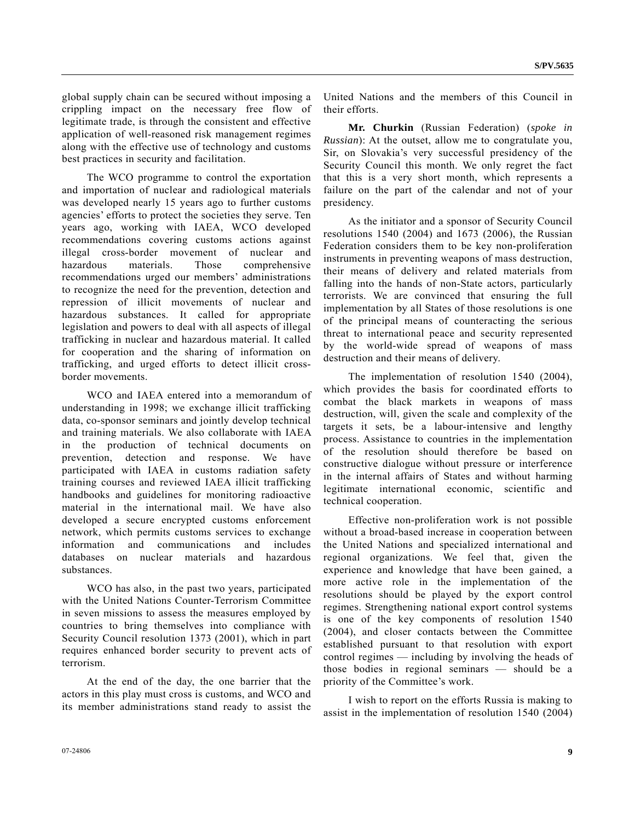global supply chain can be secured without imposing a crippling impact on the necessary free flow of legitimate trade, is through the consistent and effective application of well-reasoned risk management regimes along with the effective use of technology and customs best practices in security and facilitation.

 The WCO programme to control the exportation and importation of nuclear and radiological materials was developed nearly 15 years ago to further customs agencies' efforts to protect the societies they serve. Ten years ago, working with IAEA, WCO developed recommendations covering customs actions against illegal cross-border movement of nuclear and hazardous materials. Those comprehensive recommendations urged our members' administrations to recognize the need for the prevention, detection and repression of illicit movements of nuclear and hazardous substances. It called for appropriate legislation and powers to deal with all aspects of illegal trafficking in nuclear and hazardous material. It called for cooperation and the sharing of information on trafficking, and urged efforts to detect illicit crossborder movements.

 WCO and IAEA entered into a memorandum of understanding in 1998; we exchange illicit trafficking data, co-sponsor seminars and jointly develop technical and training materials. We also collaborate with IAEA in the production of technical documents on prevention, detection and response. We have participated with IAEA in customs radiation safety training courses and reviewed IAEA illicit trafficking handbooks and guidelines for monitoring radioactive material in the international mail. We have also developed a secure encrypted customs enforcement network, which permits customs services to exchange information and communications and includes databases on nuclear materials and hazardous substances.

 WCO has also, in the past two years, participated with the United Nations Counter-Terrorism Committee in seven missions to assess the measures employed by countries to bring themselves into compliance with Security Council resolution 1373 (2001), which in part requires enhanced border security to prevent acts of terrorism.

 At the end of the day, the one barrier that the actors in this play must cross is customs, and WCO and its member administrations stand ready to assist the United Nations and the members of this Council in their efforts.

**Mr. Churkin** (Russian Federation) (*spoke in Russian*): At the outset, allow me to congratulate you, Sir, on Slovakia's very successful presidency of the Security Council this month. We only regret the fact that this is a very short month, which represents a failure on the part of the calendar and not of your presidency.

 As the initiator and a sponsor of Security Council resolutions 1540 (2004) and 1673 (2006), the Russian Federation considers them to be key non-proliferation instruments in preventing weapons of mass destruction, their means of delivery and related materials from falling into the hands of non-State actors, particularly terrorists. We are convinced that ensuring the full implementation by all States of those resolutions is one of the principal means of counteracting the serious threat to international peace and security represented by the world-wide spread of weapons of mass destruction and their means of delivery.

 The implementation of resolution 1540 (2004), which provides the basis for coordinated efforts to combat the black markets in weapons of mass destruction, will, given the scale and complexity of the targets it sets, be a labour-intensive and lengthy process. Assistance to countries in the implementation of the resolution should therefore be based on constructive dialogue without pressure or interference in the internal affairs of States and without harming legitimate international economic, scientific and technical cooperation.

 Effective non-proliferation work is not possible without a broad-based increase in cooperation between the United Nations and specialized international and regional organizations. We feel that, given the experience and knowledge that have been gained, a more active role in the implementation of the resolutions should be played by the export control regimes. Strengthening national export control systems is one of the key components of resolution 1540 (2004), and closer contacts between the Committee established pursuant to that resolution with export control regimes — including by involving the heads of those bodies in regional seminars — should be a priority of the Committee's work.

 I wish to report on the efforts Russia is making to assist in the implementation of resolution 1540 (2004)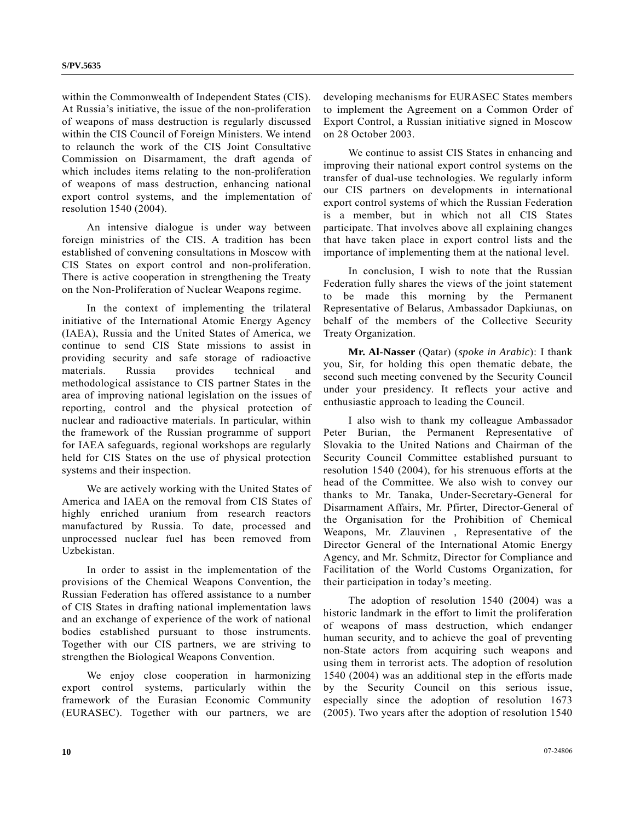within the Commonwealth of Independent States (CIS). At Russia's initiative, the issue of the non-proliferation of weapons of mass destruction is regularly discussed within the CIS Council of Foreign Ministers. We intend to relaunch the work of the CIS Joint Consultative Commission on Disarmament, the draft agenda of which includes items relating to the non-proliferation of weapons of mass destruction, enhancing national export control systems, and the implementation of resolution 1540 (2004).

 An intensive dialogue is under way between foreign ministries of the CIS. A tradition has been established of convening consultations in Moscow with CIS States on export control and non-proliferation. There is active cooperation in strengthening the Treaty on the Non-Proliferation of Nuclear Weapons regime.

 In the context of implementing the trilateral initiative of the International Atomic Energy Agency (IAEA), Russia and the United States of America, we continue to send CIS State missions to assist in providing security and safe storage of radioactive materials. Russia provides technical and methodological assistance to CIS partner States in the area of improving national legislation on the issues of reporting, control and the physical protection of nuclear and radioactive materials. In particular, within the framework of the Russian programme of support for IAEA safeguards, regional workshops are regularly held for CIS States on the use of physical protection systems and their inspection.

 We are actively working with the United States of America and IAEA on the removal from CIS States of highly enriched uranium from research reactors manufactured by Russia. To date, processed and unprocessed nuclear fuel has been removed from Uzbekistan.

 In order to assist in the implementation of the provisions of the Chemical Weapons Convention, the Russian Federation has offered assistance to a number of CIS States in drafting national implementation laws and an exchange of experience of the work of national bodies established pursuant to those instruments. Together with our CIS partners, we are striving to strengthen the Biological Weapons Convention.

 We enjoy close cooperation in harmonizing export control systems, particularly within the framework of the Eurasian Economic Community (EURASEC). Together with our partners, we are developing mechanisms for EURASEC States members to implement the Agreement on a Common Order of Export Control, a Russian initiative signed in Moscow on 28 October 2003.

 We continue to assist CIS States in enhancing and improving their national export control systems on the transfer of dual-use technologies. We regularly inform our CIS partners on developments in international export control systems of which the Russian Federation is a member, but in which not all CIS States participate. That involves above all explaining changes that have taken place in export control lists and the importance of implementing them at the national level.

 In conclusion, I wish to note that the Russian Federation fully shares the views of the joint statement to be made this morning by the Permanent Representative of Belarus, Ambassador Dapkiunas, on behalf of the members of the Collective Security Treaty Organization.

**Mr. Al-Nasser** (Qatar) (*spoke in Arabic*): I thank you, Sir, for holding this open thematic debate, the second such meeting convened by the Security Council under your presidency. It reflects your active and enthusiastic approach to leading the Council.

 I also wish to thank my colleague Ambassador Peter Burian, the Permanent Representative of Slovakia to the United Nations and Chairman of the Security Council Committee established pursuant to resolution 1540 (2004), for his strenuous efforts at the head of the Committee. We also wish to convey our thanks to Mr. Tanaka, Under-Secretary-General for Disarmament Affairs, Mr. Pfirter, Director-General of the Organisation for the Prohibition of Chemical Weapons, Mr. Zlauvinen , Representative of the Director General of the International Atomic Energy Agency, and Mr. Schmitz, Director for Compliance and Facilitation of the World Customs Organization, for their participation in today's meeting.

 The adoption of resolution 1540 (2004) was a historic landmark in the effort to limit the proliferation of weapons of mass destruction, which endanger human security, and to achieve the goal of preventing non-State actors from acquiring such weapons and using them in terrorist acts. The adoption of resolution 1540 (2004) was an additional step in the efforts made by the Security Council on this serious issue, especially since the adoption of resolution 1673 (2005). Two years after the adoption of resolution 1540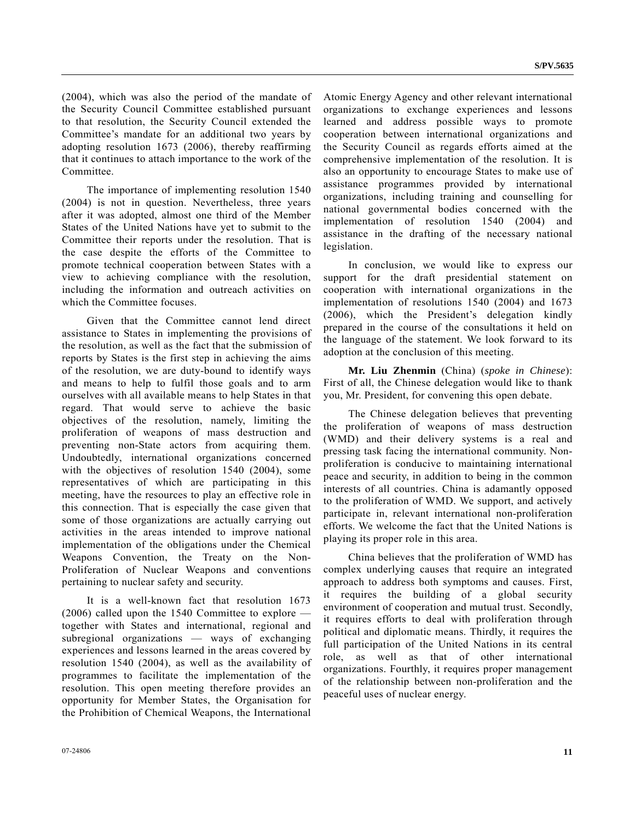(2004), which was also the period of the mandate of the Security Council Committee established pursuant to that resolution, the Security Council extended the Committee's mandate for an additional two years by adopting resolution 1673 (2006), thereby reaffirming that it continues to attach importance to the work of the Committee.

 The importance of implementing resolution 1540 (2004) is not in question. Nevertheless, three years after it was adopted, almost one third of the Member States of the United Nations have yet to submit to the Committee their reports under the resolution. That is the case despite the efforts of the Committee to promote technical cooperation between States with a view to achieving compliance with the resolution, including the information and outreach activities on which the Committee focuses.

 Given that the Committee cannot lend direct assistance to States in implementing the provisions of the resolution, as well as the fact that the submission of reports by States is the first step in achieving the aims of the resolution, we are duty-bound to identify ways and means to help to fulfil those goals and to arm ourselves with all available means to help States in that regard. That would serve to achieve the basic objectives of the resolution, namely, limiting the proliferation of weapons of mass destruction and preventing non-State actors from acquiring them. Undoubtedly, international organizations concerned with the objectives of resolution 1540 (2004), some representatives of which are participating in this meeting, have the resources to play an effective role in this connection. That is especially the case given that some of those organizations are actually carrying out activities in the areas intended to improve national implementation of the obligations under the Chemical Weapons Convention, the Treaty on the Non-Proliferation of Nuclear Weapons and conventions pertaining to nuclear safety and security.

 It is a well-known fact that resolution 1673 (2006) called upon the 1540 Committee to explore together with States and international, regional and subregional organizations — ways of exchanging experiences and lessons learned in the areas covered by resolution 1540 (2004), as well as the availability of programmes to facilitate the implementation of the resolution. This open meeting therefore provides an opportunity for Member States, the Organisation for the Prohibition of Chemical Weapons, the International

Atomic Energy Agency and other relevant international organizations to exchange experiences and lessons learned and address possible ways to promote cooperation between international organizations and the Security Council as regards efforts aimed at the comprehensive implementation of the resolution. It is also an opportunity to encourage States to make use of assistance programmes provided by international organizations, including training and counselling for national governmental bodies concerned with the implementation of resolution 1540 (2004) and assistance in the drafting of the necessary national legislation.

 In conclusion, we would like to express our support for the draft presidential statement on cooperation with international organizations in the implementation of resolutions 1540 (2004) and 1673 (2006), which the President's delegation kindly prepared in the course of the consultations it held on the language of the statement. We look forward to its adoption at the conclusion of this meeting.

 **Mr. Liu Zhenmin** (China) (*spoke in Chinese*): First of all, the Chinese delegation would like to thank you, Mr. President, for convening this open debate.

 The Chinese delegation believes that preventing the proliferation of weapons of mass destruction (WMD) and their delivery systems is a real and pressing task facing the international community. Nonproliferation is conducive to maintaining international peace and security, in addition to being in the common interests of all countries. China is adamantly opposed to the proliferation of WMD. We support, and actively participate in, relevant international non-proliferation efforts. We welcome the fact that the United Nations is playing its proper role in this area.

 China believes that the proliferation of WMD has complex underlying causes that require an integrated approach to address both symptoms and causes. First, it requires the building of a global security environment of cooperation and mutual trust. Secondly, it requires efforts to deal with proliferation through political and diplomatic means. Thirdly, it requires the full participation of the United Nations in its central role, as well as that of other international organizations. Fourthly, it requires proper management of the relationship between non-proliferation and the peaceful uses of nuclear energy.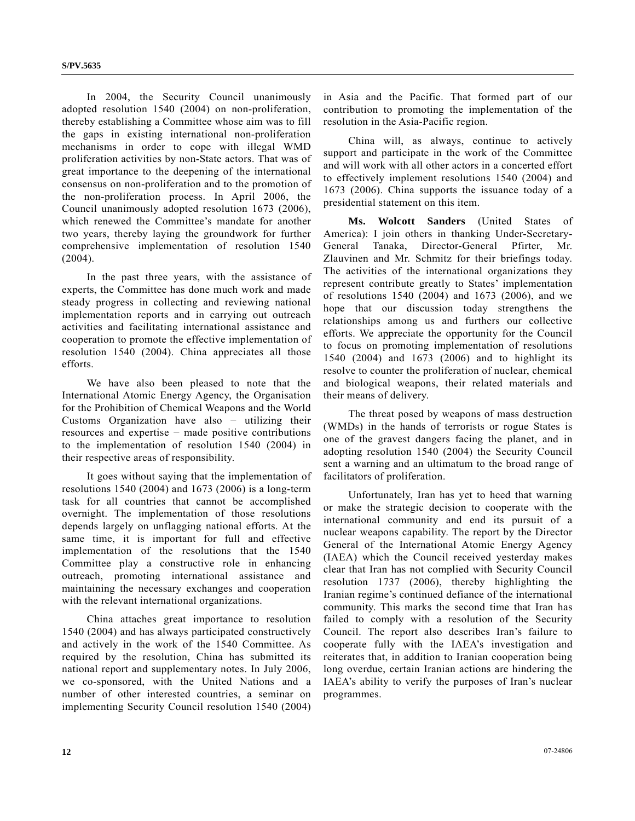In 2004, the Security Council unanimously adopted resolution 1540 (2004) on non-proliferation, thereby establishing a Committee whose aim was to fill the gaps in existing international non-proliferation mechanisms in order to cope with illegal WMD proliferation activities by non-State actors. That was of great importance to the deepening of the international consensus on non-proliferation and to the promotion of the non-proliferation process. In April 2006, the Council unanimously adopted resolution 1673 (2006), which renewed the Committee's mandate for another two years, thereby laying the groundwork for further comprehensive implementation of resolution 1540 (2004).

 In the past three years, with the assistance of experts, the Committee has done much work and made steady progress in collecting and reviewing national implementation reports and in carrying out outreach activities and facilitating international assistance and cooperation to promote the effective implementation of resolution 1540 (2004). China appreciates all those efforts.

 We have also been pleased to note that the International Atomic Energy Agency, the Organisation for the Prohibition of Chemical Weapons and the World Customs Organization have also − utilizing their resources and expertise − made positive contributions to the implementation of resolution 1540 (2004) in their respective areas of responsibility.

 It goes without saying that the implementation of resolutions 1540 (2004) and 1673 (2006) is a long-term task for all countries that cannot be accomplished overnight. The implementation of those resolutions depends largely on unflagging national efforts. At the same time, it is important for full and effective implementation of the resolutions that the 1540 Committee play a constructive role in enhancing outreach, promoting international assistance and maintaining the necessary exchanges and cooperation with the relevant international organizations.

 China attaches great importance to resolution 1540 (2004) and has always participated constructively and actively in the work of the 1540 Committee. As required by the resolution, China has submitted its national report and supplementary notes. In July 2006, we co-sponsored, with the United Nations and a number of other interested countries, a seminar on implementing Security Council resolution 1540 (2004) in Asia and the Pacific. That formed part of our contribution to promoting the implementation of the resolution in the Asia-Pacific region.

 China will, as always, continue to actively support and participate in the work of the Committee and will work with all other actors in a concerted effort to effectively implement resolutions 1540 (2004) and 1673 (2006). China supports the issuance today of a presidential statement on this item.

 **Ms. Wolcott Sanders** (United States of America): I join others in thanking Under-Secretary-General Tanaka, Director-General Pfirter, Mr. Zlauvinen and Mr. Schmitz for their briefings today. The activities of the international organizations they represent contribute greatly to States' implementation of resolutions 1540 (2004) and 1673 (2006), and we hope that our discussion today strengthens the relationships among us and furthers our collective efforts. We appreciate the opportunity for the Council to focus on promoting implementation of resolutions 1540 (2004) and 1673 (2006) and to highlight its resolve to counter the proliferation of nuclear, chemical and biological weapons, their related materials and their means of delivery.

 The threat posed by weapons of mass destruction (WMDs) in the hands of terrorists or rogue States is one of the gravest dangers facing the planet, and in adopting resolution 1540 (2004) the Security Council sent a warning and an ultimatum to the broad range of facilitators of proliferation.

 Unfortunately, Iran has yet to heed that warning or make the strategic decision to cooperate with the international community and end its pursuit of a nuclear weapons capability. The report by the Director General of the International Atomic Energy Agency (IAEA) which the Council received yesterday makes clear that Iran has not complied with Security Council resolution 1737 (2006), thereby highlighting the Iranian regime's continued defiance of the international community. This marks the second time that Iran has failed to comply with a resolution of the Security Council. The report also describes Iran's failure to cooperate fully with the IAEA's investigation and reiterates that, in addition to Iranian cooperation being long overdue, certain Iranian actions are hindering the IAEA's ability to verify the purposes of Iran's nuclear programmes.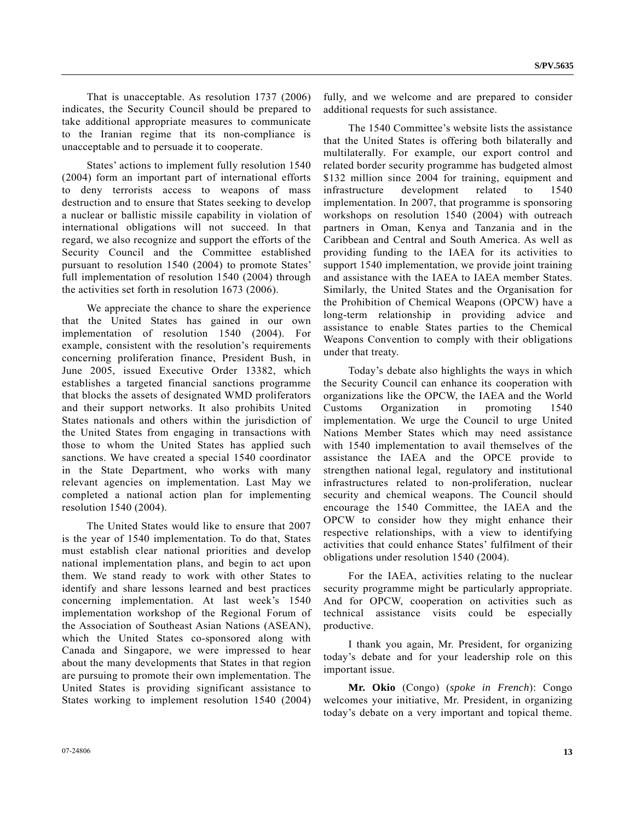That is unacceptable. As resolution 1737 (2006) indicates, the Security Council should be prepared to take additional appropriate measures to communicate to the Iranian regime that its non-compliance is unacceptable and to persuade it to cooperate.

 States' actions to implement fully resolution 1540 (2004) form an important part of international efforts to deny terrorists access to weapons of mass destruction and to ensure that States seeking to develop a nuclear or ballistic missile capability in violation of international obligations will not succeed. In that regard, we also recognize and support the efforts of the Security Council and the Committee established pursuant to resolution 1540 (2004) to promote States' full implementation of resolution 1540 (2004) through the activities set forth in resolution 1673 (2006).

 We appreciate the chance to share the experience that the United States has gained in our own implementation of resolution 1540 (2004). For example, consistent with the resolution's requirements concerning proliferation finance, President Bush, in June 2005, issued Executive Order 13382, which establishes a targeted financial sanctions programme that blocks the assets of designated WMD proliferators and their support networks. It also prohibits United States nationals and others within the jurisdiction of the United States from engaging in transactions with those to whom the United States has applied such sanctions. We have created a special 1540 coordinator in the State Department, who works with many relevant agencies on implementation. Last May we completed a national action plan for implementing resolution 1540 (2004).

 The United States would like to ensure that 2007 is the year of 1540 implementation. To do that, States must establish clear national priorities and develop national implementation plans, and begin to act upon them. We stand ready to work with other States to identify and share lessons learned and best practices concerning implementation. At last week's 1540 implementation workshop of the Regional Forum of the Association of Southeast Asian Nations (ASEAN), which the United States co-sponsored along with Canada and Singapore, we were impressed to hear about the many developments that States in that region are pursuing to promote their own implementation. The United States is providing significant assistance to States working to implement resolution 1540 (2004)

fully, and we welcome and are prepared to consider additional requests for such assistance.

 The 1540 Committee's website lists the assistance that the United States is offering both bilaterally and multilaterally. For example, our export control and related border security programme has budgeted almost \$132 million since 2004 for training, equipment and infrastructure development related to 1540 implementation. In 2007, that programme is sponsoring workshops on resolution 1540 (2004) with outreach partners in Oman, Kenya and Tanzania and in the Caribbean and Central and South America. As well as providing funding to the IAEA for its activities to support 1540 implementation, we provide joint training and assistance with the IAEA to IAEA member States. Similarly, the United States and the Organisation for the Prohibition of Chemical Weapons (OPCW) have a long-term relationship in providing advice and assistance to enable States parties to the Chemical Weapons Convention to comply with their obligations under that treaty.

 Today's debate also highlights the ways in which the Security Council can enhance its cooperation with organizations like the OPCW, the IAEA and the World Customs Organization in promoting 1540 implementation. We urge the Council to urge United Nations Member States which may need assistance with 1540 implementation to avail themselves of the assistance the IAEA and the OPCE provide to strengthen national legal, regulatory and institutional infrastructures related to non-proliferation, nuclear security and chemical weapons. The Council should encourage the 1540 Committee, the IAEA and the OPCW to consider how they might enhance their respective relationships, with a view to identifying activities that could enhance States' fulfilment of their obligations under resolution 1540 (2004).

 For the IAEA, activities relating to the nuclear security programme might be particularly appropriate. And for OPCW, cooperation on activities such as technical assistance visits could be especially productive.

 I thank you again, Mr. President, for organizing today's debate and for your leadership role on this important issue.

 **Mr. Okio** (Congo) (*spoke in French*): Congo welcomes your initiative, Mr. President, in organizing today's debate on a very important and topical theme.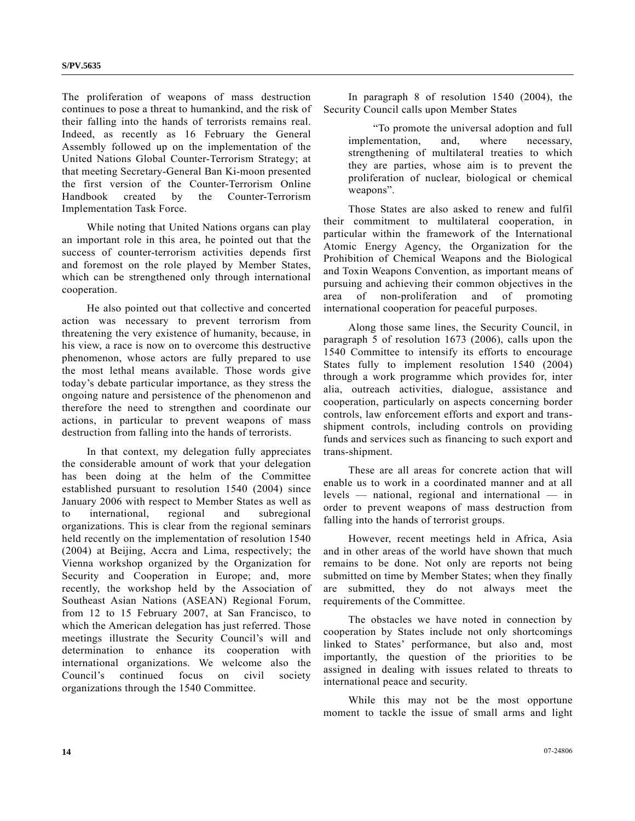The proliferation of weapons of mass destruction continues to pose a threat to humankind, and the risk of their falling into the hands of terrorists remains real. Indeed, as recently as 16 February the General Assembly followed up on the implementation of the United Nations Global Counter-Terrorism Strategy; at that meeting Secretary-General Ban Ki-moon presented the first version of the Counter-Terrorism Online Handbook created by the Counter-Terrorism Implementation Task Force.

 While noting that United Nations organs can play an important role in this area, he pointed out that the success of counter-terrorism activities depends first and foremost on the role played by Member States, which can be strengthened only through international cooperation.

 He also pointed out that collective and concerted action was necessary to prevent terrorism from threatening the very existence of humanity, because, in his view, a race is now on to overcome this destructive phenomenon, whose actors are fully prepared to use the most lethal means available. Those words give today's debate particular importance, as they stress the ongoing nature and persistence of the phenomenon and therefore the need to strengthen and coordinate our actions, in particular to prevent weapons of mass destruction from falling into the hands of terrorists.

 In that context, my delegation fully appreciates the considerable amount of work that your delegation has been doing at the helm of the Committee established pursuant to resolution 1540 (2004) since January 2006 with respect to Member States as well as to international, regional and subregional organizations. This is clear from the regional seminars held recently on the implementation of resolution 1540 (2004) at Beijing, Accra and Lima, respectively; the Vienna workshop organized by the Organization for Security and Cooperation in Europe; and, more recently, the workshop held by the Association of Southeast Asian Nations (ASEAN) Regional Forum, from 12 to 15 February 2007, at San Francisco, to which the American delegation has just referred. Those meetings illustrate the Security Council's will and determination to enhance its cooperation with international organizations. We welcome also the Council's continued focus on civil society organizations through the 1540 Committee.

 In paragraph 8 of resolution 1540 (2004), the Security Council calls upon Member States

 "To promote the universal adoption and full implementation, and, where necessary, strengthening of multilateral treaties to which they are parties, whose aim is to prevent the proliferation of nuclear, biological or chemical weapons".

 Those States are also asked to renew and fulfil their commitment to multilateral cooperation, in particular within the framework of the International Atomic Energy Agency, the Organization for the Prohibition of Chemical Weapons and the Biological and Toxin Weapons Convention, as important means of pursuing and achieving their common objectives in the area of non-proliferation and of promoting international cooperation for peaceful purposes.

 Along those same lines, the Security Council, in paragraph 5 of resolution 1673 (2006), calls upon the 1540 Committee to intensify its efforts to encourage States fully to implement resolution 1540 (2004) through a work programme which provides for, inter alia, outreach activities, dialogue, assistance and cooperation, particularly on aspects concerning border controls, law enforcement efforts and export and transshipment controls, including controls on providing funds and services such as financing to such export and trans-shipment.

 These are all areas for concrete action that will enable us to work in a coordinated manner and at all levels — national, regional and international — in order to prevent weapons of mass destruction from falling into the hands of terrorist groups.

 However, recent meetings held in Africa, Asia and in other areas of the world have shown that much remains to be done. Not only are reports not being submitted on time by Member States; when they finally are submitted, they do not always meet the requirements of the Committee.

 The obstacles we have noted in connection by cooperation by States include not only shortcomings linked to States' performance, but also and, most importantly, the question of the priorities to be assigned in dealing with issues related to threats to international peace and security.

 While this may not be the most opportune moment to tackle the issue of small arms and light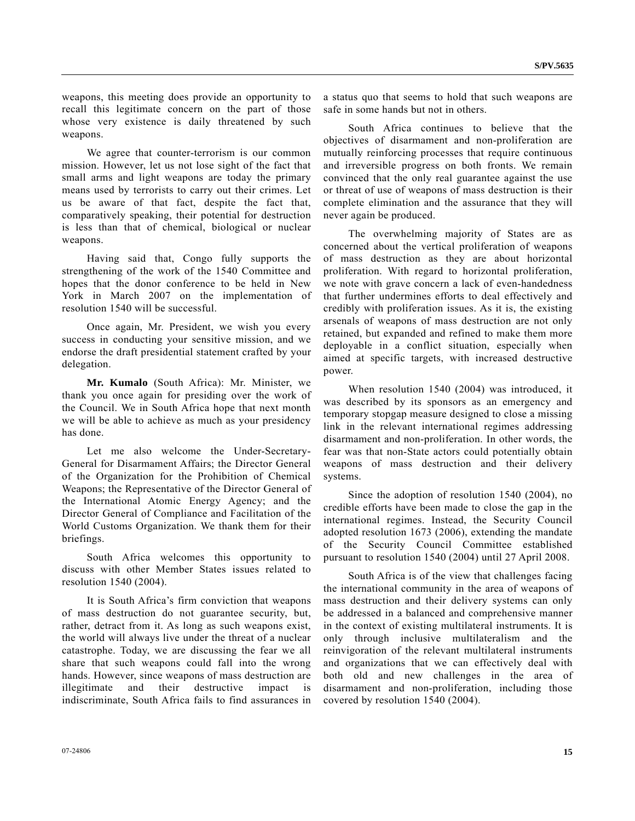weapons, this meeting does provide an opportunity to recall this legitimate concern on the part of those whose very existence is daily threatened by such weapons.

 We agree that counter-terrorism is our common mission. However, let us not lose sight of the fact that small arms and light weapons are today the primary means used by terrorists to carry out their crimes. Let us be aware of that fact, despite the fact that, comparatively speaking, their potential for destruction is less than that of chemical, biological or nuclear weapons.

 Having said that, Congo fully supports the strengthening of the work of the 1540 Committee and hopes that the donor conference to be held in New York in March 2007 on the implementation of resolution 1540 will be successful.

 Once again, Mr. President, we wish you every success in conducting your sensitive mission, and we endorse the draft presidential statement crafted by your delegation.

**Mr. Kumalo** (South Africa): Mr. Minister, we thank you once again for presiding over the work of the Council. We in South Africa hope that next month we will be able to achieve as much as your presidency has done.

 Let me also welcome the Under-Secretary-General for Disarmament Affairs; the Director General of the Organization for the Prohibition of Chemical Weapons; the Representative of the Director General of the International Atomic Energy Agency; and the Director General of Compliance and Facilitation of the World Customs Organization. We thank them for their briefings.

 South Africa welcomes this opportunity to discuss with other Member States issues related to resolution 1540 (2004).

 It is South Africa's firm conviction that weapons of mass destruction do not guarantee security, but, rather, detract from it. As long as such weapons exist, the world will always live under the threat of a nuclear catastrophe. Today, we are discussing the fear we all share that such weapons could fall into the wrong hands. However, since weapons of mass destruction are illegitimate and their destructive impact is indiscriminate, South Africa fails to find assurances in a status quo that seems to hold that such weapons are safe in some hands but not in others.

 South Africa continues to believe that the objectives of disarmament and non-proliferation are mutually reinforcing processes that require continuous and irreversible progress on both fronts. We remain convinced that the only real guarantee against the use or threat of use of weapons of mass destruction is their complete elimination and the assurance that they will never again be produced.

 The overwhelming majority of States are as concerned about the vertical proliferation of weapons of mass destruction as they are about horizontal proliferation. With regard to horizontal proliferation, we note with grave concern a lack of even-handedness that further undermines efforts to deal effectively and credibly with proliferation issues. As it is, the existing arsenals of weapons of mass destruction are not only retained, but expanded and refined to make them more deployable in a conflict situation, especially when aimed at specific targets, with increased destructive power.

 When resolution 1540 (2004) was introduced, it was described by its sponsors as an emergency and temporary stopgap measure designed to close a missing link in the relevant international regimes addressing disarmament and non-proliferation. In other words, the fear was that non-State actors could potentially obtain weapons of mass destruction and their delivery systems.

 Since the adoption of resolution 1540 (2004), no credible efforts have been made to close the gap in the international regimes. Instead, the Security Council adopted resolution 1673 (2006), extending the mandate of the Security Council Committee established pursuant to resolution 1540 (2004) until 27 April 2008.

 South Africa is of the view that challenges facing the international community in the area of weapons of mass destruction and their delivery systems can only be addressed in a balanced and comprehensive manner in the context of existing multilateral instruments. It is only through inclusive multilateralism and the reinvigoration of the relevant multilateral instruments and organizations that we can effectively deal with both old and new challenges in the area of disarmament and non-proliferation, including those covered by resolution 1540 (2004).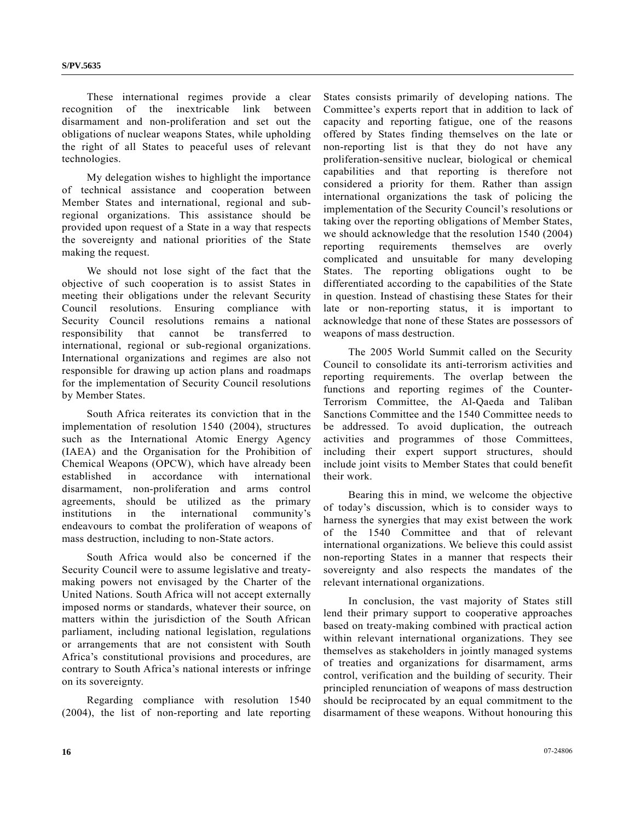These international regimes provide a clear recognition of the inextricable link between disarmament and non-proliferation and set out the obligations of nuclear weapons States, while upholding the right of all States to peaceful uses of relevant technologies.

 My delegation wishes to highlight the importance of technical assistance and cooperation between Member States and international, regional and subregional organizations. This assistance should be provided upon request of a State in a way that respects the sovereignty and national priorities of the State making the request.

 We should not lose sight of the fact that the objective of such cooperation is to assist States in meeting their obligations under the relevant Security Council resolutions. Ensuring compliance with Security Council resolutions remains a national responsibility that cannot be transferred to international, regional or sub-regional organizations. International organizations and regimes are also not responsible for drawing up action plans and roadmaps for the implementation of Security Council resolutions by Member States.

 South Africa reiterates its conviction that in the implementation of resolution 1540 (2004), structures such as the International Atomic Energy Agency (IAEA) and the Organisation for the Prohibition of Chemical Weapons (OPCW), which have already been established in accordance with international disarmament, non-proliferation and arms control agreements, should be utilized as the primary institutions in the international community's endeavours to combat the proliferation of weapons of mass destruction, including to non-State actors.

 South Africa would also be concerned if the Security Council were to assume legislative and treatymaking powers not envisaged by the Charter of the United Nations. South Africa will not accept externally imposed norms or standards, whatever their source, on matters within the jurisdiction of the South African parliament, including national legislation, regulations or arrangements that are not consistent with South Africa's constitutional provisions and procedures, are contrary to South Africa's national interests or infringe on its sovereignty.

 Regarding compliance with resolution 1540 (2004), the list of non-reporting and late reporting States consists primarily of developing nations. The Committee's experts report that in addition to lack of capacity and reporting fatigue, one of the reasons offered by States finding themselves on the late or non-reporting list is that they do not have any proliferation-sensitive nuclear, biological or chemical capabilities and that reporting is therefore not considered a priority for them. Rather than assign international organizations the task of policing the implementation of the Security Council's resolutions or taking over the reporting obligations of Member States, we should acknowledge that the resolution 1540 (2004) reporting requirements themselves are overly complicated and unsuitable for many developing States. The reporting obligations ought to be differentiated according to the capabilities of the State in question. Instead of chastising these States for their late or non-reporting status, it is important to acknowledge that none of these States are possessors of weapons of mass destruction.

 The 2005 World Summit called on the Security Council to consolidate its anti-terrorism activities and reporting requirements. The overlap between the functions and reporting regimes of the Counter-Terrorism Committee, the Al-Qaeda and Taliban Sanctions Committee and the 1540 Committee needs to be addressed. To avoid duplication, the outreach activities and programmes of those Committees, including their expert support structures, should include joint visits to Member States that could benefit their work.

 Bearing this in mind, we welcome the objective of today's discussion, which is to consider ways to harness the synergies that may exist between the work of the 1540 Committee and that of relevant international organizations. We believe this could assist non-reporting States in a manner that respects their sovereignty and also respects the mandates of the relevant international organizations.

 In conclusion, the vast majority of States still lend their primary support to cooperative approaches based on treaty-making combined with practical action within relevant international organizations. They see themselves as stakeholders in jointly managed systems of treaties and organizations for disarmament, arms control, verification and the building of security. Their principled renunciation of weapons of mass destruction should be reciprocated by an equal commitment to the disarmament of these weapons. Without honouring this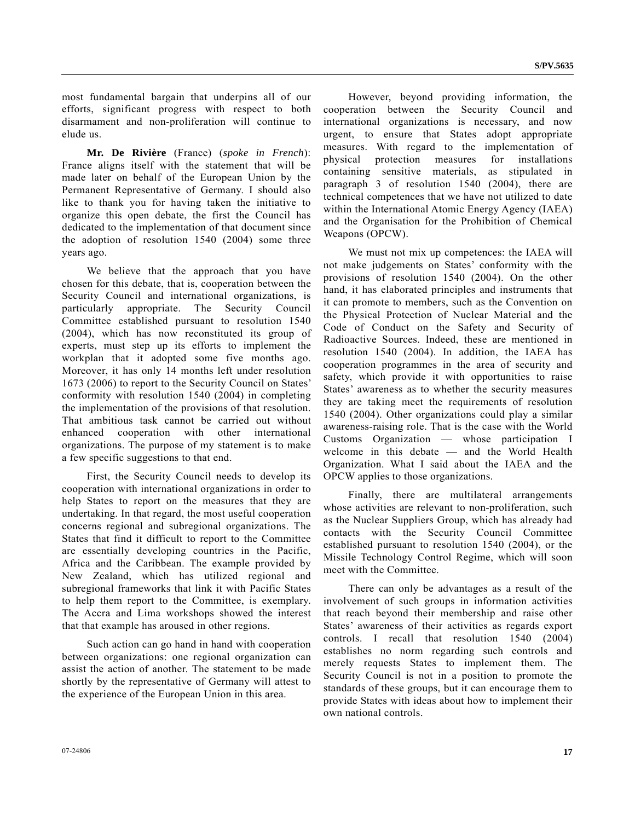most fundamental bargain that underpins all of our efforts, significant progress with respect to both disarmament and non-proliferation will continue to elude us.

**Mr. De Rivière** (France) (*spoke in French*): France aligns itself with the statement that will be made later on behalf of the European Union by the Permanent Representative of Germany. I should also like to thank you for having taken the initiative to organize this open debate, the first the Council has dedicated to the implementation of that document since the adoption of resolution 1540 (2004) some three years ago.

 We believe that the approach that you have chosen for this debate, that is, cooperation between the Security Council and international organizations, is particularly appropriate. The Security Council Committee established pursuant to resolution 1540 (2004), which has now reconstituted its group of experts, must step up its efforts to implement the workplan that it adopted some five months ago. Moreover, it has only 14 months left under resolution 1673 (2006) to report to the Security Council on States' conformity with resolution 1540 (2004) in completing the implementation of the provisions of that resolution. That ambitious task cannot be carried out without enhanced cooperation with other international organizations. The purpose of my statement is to make a few specific suggestions to that end.

 First, the Security Council needs to develop its cooperation with international organizations in order to help States to report on the measures that they are undertaking. In that regard, the most useful cooperation concerns regional and subregional organizations. The States that find it difficult to report to the Committee are essentially developing countries in the Pacific, Africa and the Caribbean. The example provided by New Zealand, which has utilized regional and subregional frameworks that link it with Pacific States to help them report to the Committee, is exemplary. The Accra and Lima workshops showed the interest that that example has aroused in other regions.

 Such action can go hand in hand with cooperation between organizations: one regional organization can assist the action of another. The statement to be made shortly by the representative of Germany will attest to the experience of the European Union in this area.

 However, beyond providing information, the cooperation between the Security Council and international organizations is necessary, and now urgent, to ensure that States adopt appropriate measures. With regard to the implementation of physical protection measures for installations containing sensitive materials, as stipulated in paragraph 3 of resolution 1540 (2004), there are technical competences that we have not utilized to date within the International Atomic Energy Agency (IAEA) and the Organisation for the Prohibition of Chemical Weapons (OPCW).

 We must not mix up competences: the IAEA will not make judgements on States' conformity with the provisions of resolution 1540 (2004). On the other hand, it has elaborated principles and instruments that it can promote to members, such as the Convention on the Physical Protection of Nuclear Material and the Code of Conduct on the Safety and Security of Radioactive Sources. Indeed, these are mentioned in resolution 1540 (2004). In addition, the IAEA has cooperation programmes in the area of security and safety, which provide it with opportunities to raise States' awareness as to whether the security measures they are taking meet the requirements of resolution 1540 (2004). Other organizations could play a similar awareness-raising role. That is the case with the World Customs Organization — whose participation I welcome in this debate — and the World Health Organization. What I said about the IAEA and the OPCW applies to those organizations.

 Finally, there are multilateral arrangements whose activities are relevant to non-proliferation, such as the Nuclear Suppliers Group, which has already had contacts with the Security Council Committee established pursuant to resolution 1540 (2004), or the Missile Technology Control Regime, which will soon meet with the Committee.

 There can only be advantages as a result of the involvement of such groups in information activities that reach beyond their membership and raise other States' awareness of their activities as regards export controls. I recall that resolution 1540 (2004) establishes no norm regarding such controls and merely requests States to implement them. The Security Council is not in a position to promote the standards of these groups, but it can encourage them to provide States with ideas about how to implement their own national controls.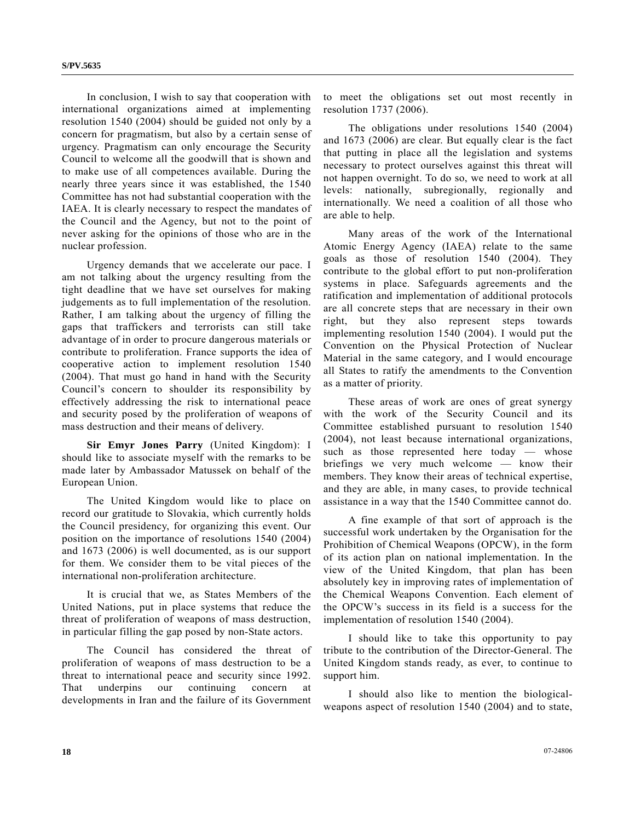In conclusion, I wish to say that cooperation with international organizations aimed at implementing resolution 1540 (2004) should be guided not only by a concern for pragmatism, but also by a certain sense of urgency. Pragmatism can only encourage the Security Council to welcome all the goodwill that is shown and to make use of all competences available. During the nearly three years since it was established, the 1540 Committee has not had substantial cooperation with the IAEA. It is clearly necessary to respect the mandates of the Council and the Agency, but not to the point of never asking for the opinions of those who are in the nuclear profession.

 Urgency demands that we accelerate our pace. I am not talking about the urgency resulting from the tight deadline that we have set ourselves for making judgements as to full implementation of the resolution. Rather, I am talking about the urgency of filling the gaps that traffickers and terrorists can still take advantage of in order to procure dangerous materials or contribute to proliferation. France supports the idea of cooperative action to implement resolution 1540 (2004). That must go hand in hand with the Security Council's concern to shoulder its responsibility by effectively addressing the risk to international peace and security posed by the proliferation of weapons of mass destruction and their means of delivery.

 **Sir Emyr Jones Parry** (United Kingdom): I should like to associate myself with the remarks to be made later by Ambassador Matussek on behalf of the European Union.

 The United Kingdom would like to place on record our gratitude to Slovakia, which currently holds the Council presidency, for organizing this event. Our position on the importance of resolutions 1540 (2004) and 1673 (2006) is well documented, as is our support for them. We consider them to be vital pieces of the international non-proliferation architecture.

 It is crucial that we, as States Members of the United Nations, put in place systems that reduce the threat of proliferation of weapons of mass destruction, in particular filling the gap posed by non-State actors.

 The Council has considered the threat of proliferation of weapons of mass destruction to be a threat to international peace and security since 1992. That underpins our continuing concern at developments in Iran and the failure of its Government

to meet the obligations set out most recently in resolution 1737 (2006).

 The obligations under resolutions 1540 (2004) and 1673 (2006) are clear. But equally clear is the fact that putting in place all the legislation and systems necessary to protect ourselves against this threat will not happen overnight. To do so, we need to work at all levels: nationally, subregionally, regionally and internationally. We need a coalition of all those who are able to help.

 Many areas of the work of the International Atomic Energy Agency (IAEA) relate to the same goals as those of resolution 1540 (2004). They contribute to the global effort to put non-proliferation systems in place. Safeguards agreements and the ratification and implementation of additional protocols are all concrete steps that are necessary in their own right, but they also represent steps towards implementing resolution 1540 (2004). I would put the Convention on the Physical Protection of Nuclear Material in the same category, and I would encourage all States to ratify the amendments to the Convention as a matter of priority.

 These areas of work are ones of great synergy with the work of the Security Council and its Committee established pursuant to resolution 1540 (2004), not least because international organizations, such as those represented here today — whose briefings we very much welcome — know their members. They know their areas of technical expertise, and they are able, in many cases, to provide technical assistance in a way that the 1540 Committee cannot do.

 A fine example of that sort of approach is the successful work undertaken by the Organisation for the Prohibition of Chemical Weapons (OPCW), in the form of its action plan on national implementation. In the view of the United Kingdom, that plan has been absolutely key in improving rates of implementation of the Chemical Weapons Convention. Each element of the OPCW's success in its field is a success for the implementation of resolution 1540 (2004).

 I should like to take this opportunity to pay tribute to the contribution of the Director-General. The United Kingdom stands ready, as ever, to continue to support him.

 I should also like to mention the biologicalweapons aspect of resolution 1540 (2004) and to state,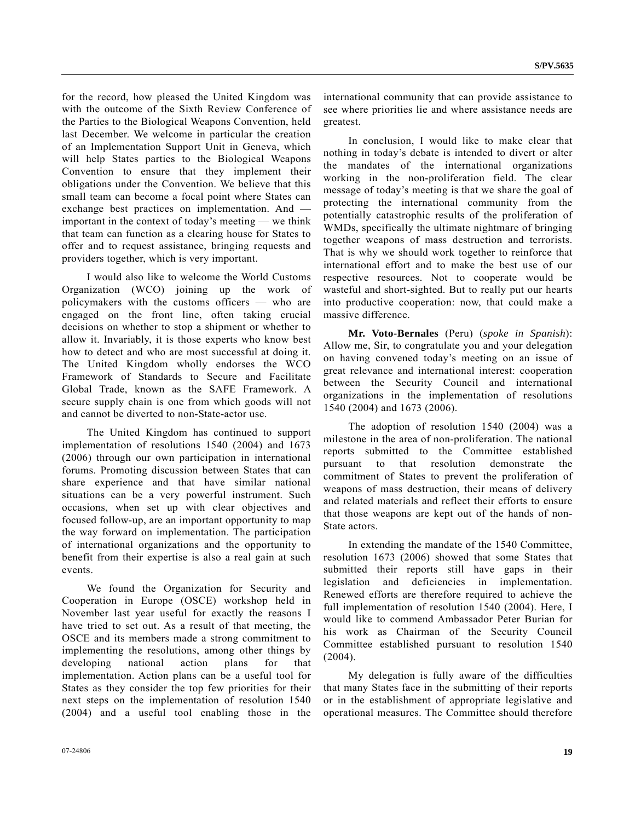for the record, how pleased the United Kingdom was with the outcome of the Sixth Review Conference of the Parties to the Biological Weapons Convention, held last December. We welcome in particular the creation of an Implementation Support Unit in Geneva, which will help States parties to the Biological Weapons Convention to ensure that they implement their obligations under the Convention. We believe that this small team can become a focal point where States can exchange best practices on implementation. And important in the context of today's meeting — we think that team can function as a clearing house for States to offer and to request assistance, bringing requests and providers together, which is very important.

 I would also like to welcome the World Customs Organization (WCO) joining up the work of policymakers with the customs officers — who are engaged on the front line, often taking crucial decisions on whether to stop a shipment or whether to allow it. Invariably, it is those experts who know best how to detect and who are most successful at doing it. The United Kingdom wholly endorses the WCO Framework of Standards to Secure and Facilitate Global Trade, known as the SAFE Framework. A secure supply chain is one from which goods will not and cannot be diverted to non-State-actor use.

 The United Kingdom has continued to support implementation of resolutions 1540 (2004) and 1673 (2006) through our own participation in international forums. Promoting discussion between States that can share experience and that have similar national situations can be a very powerful instrument. Such occasions, when set up with clear objectives and focused follow-up, are an important opportunity to map the way forward on implementation. The participation of international organizations and the opportunity to benefit from their expertise is also a real gain at such events.

 We found the Organization for Security and Cooperation in Europe (OSCE) workshop held in November last year useful for exactly the reasons I have tried to set out. As a result of that meeting, the OSCE and its members made a strong commitment to implementing the resolutions, among other things by developing national action plans for that implementation. Action plans can be a useful tool for States as they consider the top few priorities for their next steps on the implementation of resolution 1540 (2004) and a useful tool enabling those in the international community that can provide assistance to see where priorities lie and where assistance needs are greatest.

 In conclusion, I would like to make clear that nothing in today's debate is intended to divert or alter the mandates of the international organizations working in the non-proliferation field. The clear message of today's meeting is that we share the goal of protecting the international community from the potentially catastrophic results of the proliferation of WMDs, specifically the ultimate nightmare of bringing together weapons of mass destruction and terrorists. That is why we should work together to reinforce that international effort and to make the best use of our respective resources. Not to cooperate would be wasteful and short-sighted. But to really put our hearts into productive cooperation: now, that could make a massive difference.

 **Mr. Voto-Bernales** (Peru) (*spoke in Spanish*): Allow me, Sir, to congratulate you and your delegation on having convened today's meeting on an issue of great relevance and international interest: cooperation between the Security Council and international organizations in the implementation of resolutions 1540 (2004) and 1673 (2006).

 The adoption of resolution 1540 (2004) was a milestone in the area of non-proliferation. The national reports submitted to the Committee established pursuant to that resolution demonstrate the commitment of States to prevent the proliferation of weapons of mass destruction, their means of delivery and related materials and reflect their efforts to ensure that those weapons are kept out of the hands of non-State actors.

 In extending the mandate of the 1540 Committee, resolution 1673 (2006) showed that some States that submitted their reports still have gaps in their legislation and deficiencies in implementation. Renewed efforts are therefore required to achieve the full implementation of resolution 1540 (2004). Here, I would like to commend Ambassador Peter Burian for his work as Chairman of the Security Council Committee established pursuant to resolution 1540 (2004).

 My delegation is fully aware of the difficulties that many States face in the submitting of their reports or in the establishment of appropriate legislative and operational measures. The Committee should therefore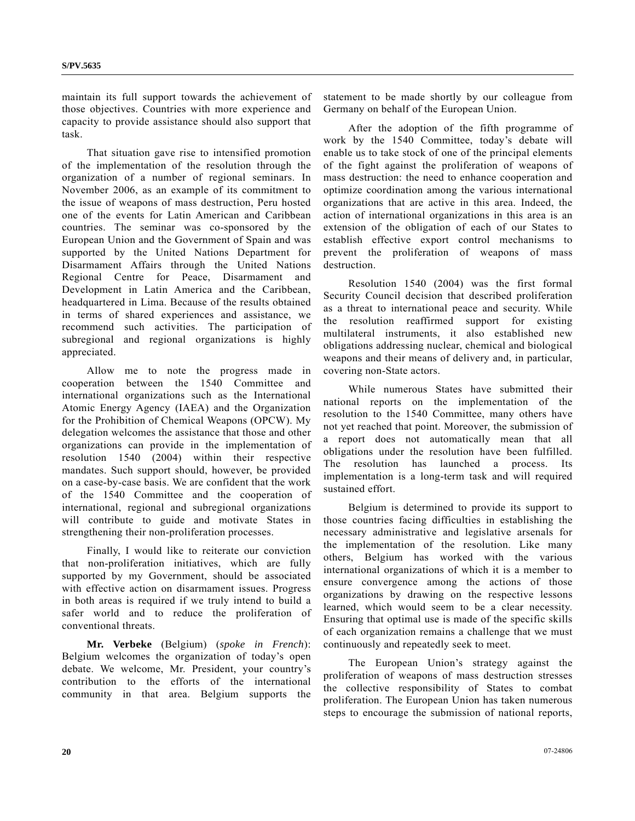maintain its full support towards the achievement of those objectives. Countries with more experience and capacity to provide assistance should also support that task.

 That situation gave rise to intensified promotion of the implementation of the resolution through the organization of a number of regional seminars. In November 2006, as an example of its commitment to the issue of weapons of mass destruction, Peru hosted one of the events for Latin American and Caribbean countries. The seminar was co-sponsored by the European Union and the Government of Spain and was supported by the United Nations Department for Disarmament Affairs through the United Nations Regional Centre for Peace, Disarmament and Development in Latin America and the Caribbean, headquartered in Lima. Because of the results obtained in terms of shared experiences and assistance, we recommend such activities. The participation of subregional and regional organizations is highly appreciated.

 Allow me to note the progress made in cooperation between the 1540 Committee and international organizations such as the International Atomic Energy Agency (IAEA) and the Organization for the Prohibition of Chemical Weapons (OPCW). My delegation welcomes the assistance that those and other organizations can provide in the implementation of resolution 1540 (2004) within their respective mandates. Such support should, however, be provided on a case-by-case basis. We are confident that the work of the 1540 Committee and the cooperation of international, regional and subregional organizations will contribute to guide and motivate States in strengthening their non-proliferation processes.

 Finally, I would like to reiterate our conviction that non-proliferation initiatives, which are fully supported by my Government, should be associated with effective action on disarmament issues. Progress in both areas is required if we truly intend to build a safer world and to reduce the proliferation of conventional threats.

**Mr. Verbeke** (Belgium) (*spoke in French*): Belgium welcomes the organization of today's open debate. We welcome, Mr. President, your country's contribution to the efforts of the international community in that area. Belgium supports the

statement to be made shortly by our colleague from Germany on behalf of the European Union.

 After the adoption of the fifth programme of work by the 1540 Committee, today's debate will enable us to take stock of one of the principal elements of the fight against the proliferation of weapons of mass destruction: the need to enhance cooperation and optimize coordination among the various international organizations that are active in this area. Indeed, the action of international organizations in this area is an extension of the obligation of each of our States to establish effective export control mechanisms to prevent the proliferation of weapons of mass destruction.

 Resolution 1540 (2004) was the first formal Security Council decision that described proliferation as a threat to international peace and security. While the resolution reaffirmed support for existing multilateral instruments, it also established new obligations addressing nuclear, chemical and biological weapons and their means of delivery and, in particular, covering non-State actors.

 While numerous States have submitted their national reports on the implementation of the resolution to the 1540 Committee, many others have not yet reached that point. Moreover, the submission of a report does not automatically mean that all obligations under the resolution have been fulfilled. The resolution has launched a process. Its implementation is a long-term task and will required sustained effort.

 Belgium is determined to provide its support to those countries facing difficulties in establishing the necessary administrative and legislative arsenals for the implementation of the resolution. Like many others, Belgium has worked with the various international organizations of which it is a member to ensure convergence among the actions of those organizations by drawing on the respective lessons learned, which would seem to be a clear necessity. Ensuring that optimal use is made of the specific skills of each organization remains a challenge that we must continuously and repeatedly seek to meet.

 The European Union's strategy against the proliferation of weapons of mass destruction stresses the collective responsibility of States to combat proliferation. The European Union has taken numerous steps to encourage the submission of national reports,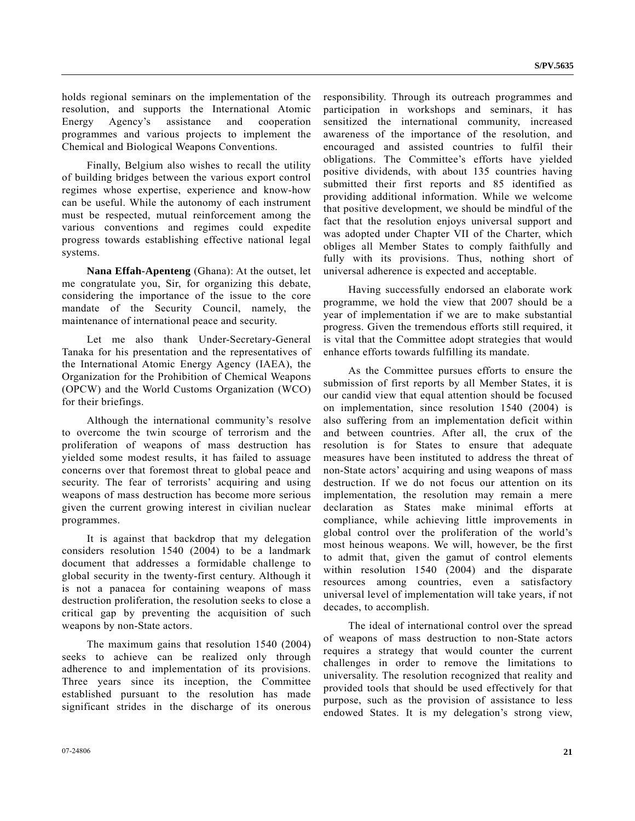holds regional seminars on the implementation of the resolution, and supports the International Atomic Energy Agency's assistance and cooperation programmes and various projects to implement the Chemical and Biological Weapons Conventions.

 Finally, Belgium also wishes to recall the utility of building bridges between the various export control regimes whose expertise, experience and know-how can be useful. While the autonomy of each instrument must be respected, mutual reinforcement among the various conventions and regimes could expedite progress towards establishing effective national legal systems.

**Nana Effah-Apenteng** (Ghana): At the outset, let me congratulate you, Sir, for organizing this debate, considering the importance of the issue to the core mandate of the Security Council, namely, the maintenance of international peace and security.

 Let me also thank Under-Secretary-General Tanaka for his presentation and the representatives of the International Atomic Energy Agency (IAEA), the Organization for the Prohibition of Chemical Weapons (OPCW) and the World Customs Organization (WCO) for their briefings.

 Although the international community's resolve to overcome the twin scourge of terrorism and the proliferation of weapons of mass destruction has yielded some modest results, it has failed to assuage concerns over that foremost threat to global peace and security. The fear of terrorists' acquiring and using weapons of mass destruction has become more serious given the current growing interest in civilian nuclear programmes.

 It is against that backdrop that my delegation considers resolution 1540 (2004) to be a landmark document that addresses a formidable challenge to global security in the twenty-first century. Although it is not a panacea for containing weapons of mass destruction proliferation, the resolution seeks to close a critical gap by preventing the acquisition of such weapons by non-State actors.

 The maximum gains that resolution 1540 (2004) seeks to achieve can be realized only through adherence to and implementation of its provisions. Three years since its inception, the Committee established pursuant to the resolution has made significant strides in the discharge of its onerous

responsibility. Through its outreach programmes and participation in workshops and seminars, it has sensitized the international community, increased awareness of the importance of the resolution, and encouraged and assisted countries to fulfil their obligations. The Committee's efforts have yielded positive dividends, with about 135 countries having submitted their first reports and 85 identified as providing additional information. While we welcome that positive development, we should be mindful of the fact that the resolution enjoys universal support and was adopted under Chapter VII of the Charter, which obliges all Member States to comply faithfully and fully with its provisions. Thus, nothing short of universal adherence is expected and acceptable.

 Having successfully endorsed an elaborate work programme, we hold the view that 2007 should be a year of implementation if we are to make substantial progress. Given the tremendous efforts still required, it is vital that the Committee adopt strategies that would enhance efforts towards fulfilling its mandate.

 As the Committee pursues efforts to ensure the submission of first reports by all Member States, it is our candid view that equal attention should be focused on implementation, since resolution 1540 (2004) is also suffering from an implementation deficit within and between countries. After all, the crux of the resolution is for States to ensure that adequate measures have been instituted to address the threat of non-State actors' acquiring and using weapons of mass destruction. If we do not focus our attention on its implementation, the resolution may remain a mere declaration as States make minimal efforts at compliance, while achieving little improvements in global control over the proliferation of the world's most heinous weapons. We will, however, be the first to admit that, given the gamut of control elements within resolution 1540 (2004) and the disparate resources among countries, even a satisfactory universal level of implementation will take years, if not decades, to accomplish.

 The ideal of international control over the spread of weapons of mass destruction to non-State actors requires a strategy that would counter the current challenges in order to remove the limitations to universality. The resolution recognized that reality and provided tools that should be used effectively for that purpose, such as the provision of assistance to less endowed States. It is my delegation's strong view,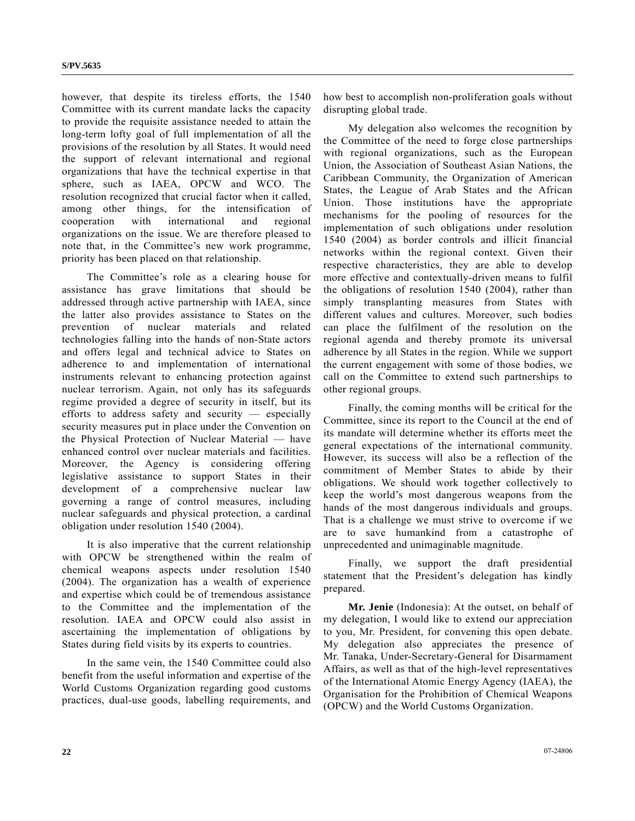however, that despite its tireless efforts, the 1540 Committee with its current mandate lacks the capacity to provide the requisite assistance needed to attain the long-term lofty goal of full implementation of all the provisions of the resolution by all States. It would need the support of relevant international and regional organizations that have the technical expertise in that sphere, such as IAEA, OPCW and WCO. The resolution recognized that crucial factor when it called, among other things, for the intensification of cooperation with international and regional organizations on the issue. We are therefore pleased to note that, in the Committee's new work programme, priority has been placed on that relationship.

 The Committee's role as a clearing house for assistance has grave limitations that should be addressed through active partnership with IAEA, since the latter also provides assistance to States on the prevention of nuclear materials and related technologies falling into the hands of non-State actors and offers legal and technical advice to States on adherence to and implementation of international instruments relevant to enhancing protection against nuclear terrorism. Again, not only has its safeguards regime provided a degree of security in itself, but its efforts to address safety and security — especially security measures put in place under the Convention on the Physical Protection of Nuclear Material — have enhanced control over nuclear materials and facilities. Moreover, the Agency is considering offering legislative assistance to support States in their development of a comprehensive nuclear law governing a range of control measures, including nuclear safeguards and physical protection, a cardinal obligation under resolution 1540 (2004).

 It is also imperative that the current relationship with OPCW be strengthened within the realm of chemical weapons aspects under resolution 1540 (2004). The organization has a wealth of experience and expertise which could be of tremendous assistance to the Committee and the implementation of the resolution. IAEA and OPCW could also assist in ascertaining the implementation of obligations by States during field visits by its experts to countries.

 In the same vein, the 1540 Committee could also benefit from the useful information and expertise of the World Customs Organization regarding good customs practices, dual-use goods, labelling requirements, and

how best to accomplish non-proliferation goals without disrupting global trade.

 My delegation also welcomes the recognition by the Committee of the need to forge close partnerships with regional organizations, such as the European Union, the Association of Southeast Asian Nations, the Caribbean Community, the Organization of American States, the League of Arab States and the African Union. Those institutions have the appropriate mechanisms for the pooling of resources for the implementation of such obligations under resolution 1540 (2004) as border controls and illicit financial networks within the regional context. Given their respective characteristics, they are able to develop more effective and contextually-driven means to fulfil the obligations of resolution 1540 (2004), rather than simply transplanting measures from States with different values and cultures. Moreover, such bodies can place the fulfilment of the resolution on the regional agenda and thereby promote its universal adherence by all States in the region. While we support the current engagement with some of those bodies, we call on the Committee to extend such partnerships to other regional groups.

 Finally, the coming months will be critical for the Committee, since its report to the Council at the end of its mandate will determine whether its efforts meet the general expectations of the international community. However, its success will also be a reflection of the commitment of Member States to abide by their obligations. We should work together collectively to keep the world's most dangerous weapons from the hands of the most dangerous individuals and groups. That is a challenge we must strive to overcome if we are to save humankind from a catastrophe of unprecedented and unimaginable magnitude.

 Finally, we support the draft presidential statement that the President's delegation has kindly prepared.

**Mr. Jenie** (Indonesia): At the outset, on behalf of my delegation, I would like to extend our appreciation to you, Mr. President, for convening this open debate. My delegation also appreciates the presence of Mr. Tanaka, Under-Secretary-General for Disarmament Affairs, as well as that of the high-level representatives of the International Atomic Energy Agency (IAEA), the Organisation for the Prohibition of Chemical Weapons (OPCW) and the World Customs Organization.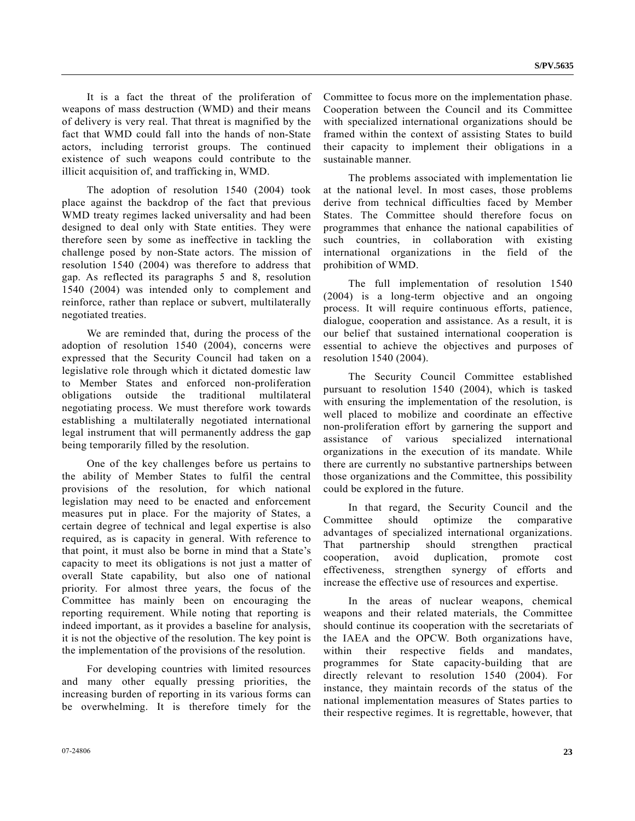It is a fact the threat of the proliferation of weapons of mass destruction (WMD) and their means of delivery is very real. That threat is magnified by the fact that WMD could fall into the hands of non-State actors, including terrorist groups. The continued existence of such weapons could contribute to the illicit acquisition of, and trafficking in, WMD.

 The adoption of resolution 1540 (2004) took place against the backdrop of the fact that previous WMD treaty regimes lacked universality and had been designed to deal only with State entities. They were therefore seen by some as ineffective in tackling the challenge posed by non-State actors. The mission of resolution 1540 (2004) was therefore to address that gap. As reflected its paragraphs 5 and 8, resolution 1540 (2004) was intended only to complement and reinforce, rather than replace or subvert, multilaterally negotiated treaties.

 We are reminded that, during the process of the adoption of resolution 1540 (2004), concerns were expressed that the Security Council had taken on a legislative role through which it dictated domestic law to Member States and enforced non-proliferation obligations outside the traditional multilateral negotiating process. We must therefore work towards establishing a multilaterally negotiated international legal instrument that will permanently address the gap being temporarily filled by the resolution.

 One of the key challenges before us pertains to the ability of Member States to fulfil the central provisions of the resolution, for which national legislation may need to be enacted and enforcement measures put in place. For the majority of States, a certain degree of technical and legal expertise is also required, as is capacity in general. With reference to that point, it must also be borne in mind that a State's capacity to meet its obligations is not just a matter of overall State capability, but also one of national priority. For almost three years, the focus of the Committee has mainly been on encouraging the reporting requirement. While noting that reporting is indeed important, as it provides a baseline for analysis, it is not the objective of the resolution. The key point is the implementation of the provisions of the resolution.

 For developing countries with limited resources and many other equally pressing priorities, the increasing burden of reporting in its various forms can be overwhelming. It is therefore timely for the Committee to focus more on the implementation phase. Cooperation between the Council and its Committee with specialized international organizations should be framed within the context of assisting States to build their capacity to implement their obligations in a sustainable manner.

 The problems associated with implementation lie at the national level. In most cases, those problems derive from technical difficulties faced by Member States. The Committee should therefore focus on programmes that enhance the national capabilities of such countries, in collaboration with existing international organizations in the field of the prohibition of WMD.

 The full implementation of resolution 1540 (2004) is a long-term objective and an ongoing process. It will require continuous efforts, patience, dialogue, cooperation and assistance. As a result, it is our belief that sustained international cooperation is essential to achieve the objectives and purposes of resolution 1540 (2004).

 The Security Council Committee established pursuant to resolution 1540 (2004), which is tasked with ensuring the implementation of the resolution, is well placed to mobilize and coordinate an effective non-proliferation effort by garnering the support and assistance of various specialized international organizations in the execution of its mandate. While there are currently no substantive partnerships between those organizations and the Committee, this possibility could be explored in the future.

 In that regard, the Security Council and the Committee should optimize the comparative advantages of specialized international organizations. That partnership should strengthen practical cooperation, avoid duplication, promote cost effectiveness, strengthen synergy of efforts and increase the effective use of resources and expertise.

 In the areas of nuclear weapons, chemical weapons and their related materials, the Committee should continue its cooperation with the secretariats of the IAEA and the OPCW. Both organizations have, within their respective fields and mandates, programmes for State capacity-building that are directly relevant to resolution 1540 (2004). For instance, they maintain records of the status of the national implementation measures of States parties to their respective regimes. It is regrettable, however, that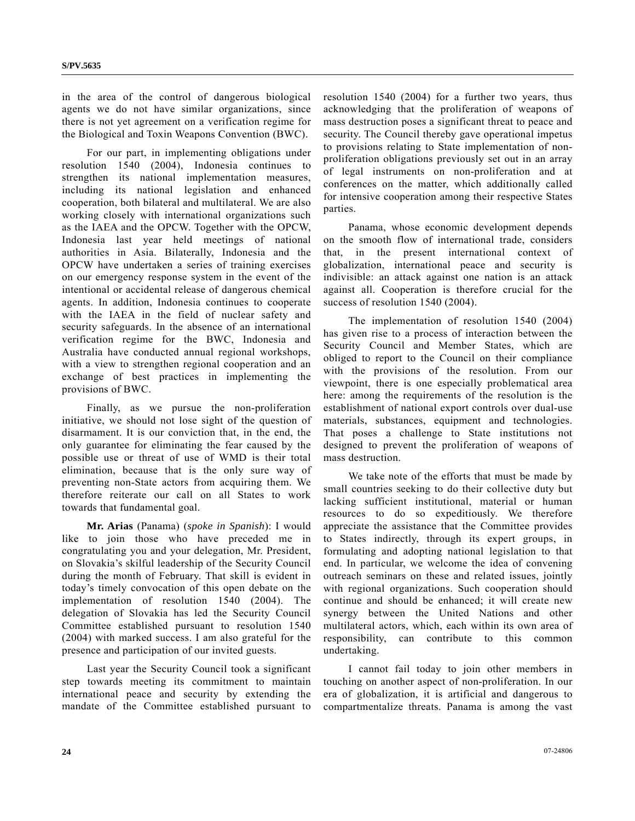in the area of the control of dangerous biological agents we do not have similar organizations, since there is not yet agreement on a verification regime for the Biological and Toxin Weapons Convention (BWC).

 For our part, in implementing obligations under resolution 1540 (2004), Indonesia continues to strengthen its national implementation measures, including its national legislation and enhanced cooperation, both bilateral and multilateral. We are also working closely with international organizations such as the IAEA and the OPCW. Together with the OPCW, Indonesia last year held meetings of national authorities in Asia. Bilaterally, Indonesia and the OPCW have undertaken a series of training exercises on our emergency response system in the event of the intentional or accidental release of dangerous chemical agents. In addition, Indonesia continues to cooperate with the IAEA in the field of nuclear safety and security safeguards. In the absence of an international verification regime for the BWC, Indonesia and Australia have conducted annual regional workshops, with a view to strengthen regional cooperation and an exchange of best practices in implementing the provisions of BWC.

 Finally, as we pursue the non-proliferation initiative, we should not lose sight of the question of disarmament. It is our conviction that, in the end, the only guarantee for eliminating the fear caused by the possible use or threat of use of WMD is their total elimination, because that is the only sure way of preventing non-State actors from acquiring them. We therefore reiterate our call on all States to work towards that fundamental goal.

**Mr. Arias** (Panama) (*spoke in Spanish*): I would like to join those who have preceded me in congratulating you and your delegation, Mr. President, on Slovakia's skilful leadership of the Security Council during the month of February. That skill is evident in today's timely convocation of this open debate on the implementation of resolution 1540 (2004). The delegation of Slovakia has led the Security Council Committee established pursuant to resolution 1540 (2004) with marked success. I am also grateful for the presence and participation of our invited guests.

 Last year the Security Council took a significant step towards meeting its commitment to maintain international peace and security by extending the mandate of the Committee established pursuant to resolution 1540 (2004) for a further two years, thus acknowledging that the proliferation of weapons of mass destruction poses a significant threat to peace and security. The Council thereby gave operational impetus to provisions relating to State implementation of nonproliferation obligations previously set out in an array of legal instruments on non-proliferation and at conferences on the matter, which additionally called for intensive cooperation among their respective States parties.

 Panama, whose economic development depends on the smooth flow of international trade, considers that, in the present international context of globalization, international peace and security is indivisible: an attack against one nation is an attack against all. Cooperation is therefore crucial for the success of resolution 1540 (2004).

 The implementation of resolution 1540 (2004) has given rise to a process of interaction between the Security Council and Member States, which are obliged to report to the Council on their compliance with the provisions of the resolution. From our viewpoint, there is one especially problematical area here: among the requirements of the resolution is the establishment of national export controls over dual-use materials, substances, equipment and technologies. That poses a challenge to State institutions not designed to prevent the proliferation of weapons of mass destruction.

 We take note of the efforts that must be made by small countries seeking to do their collective duty but lacking sufficient institutional, material or human resources to do so expeditiously. We therefore appreciate the assistance that the Committee provides to States indirectly, through its expert groups, in formulating and adopting national legislation to that end. In particular, we welcome the idea of convening outreach seminars on these and related issues, jointly with regional organizations. Such cooperation should continue and should be enhanced; it will create new synergy between the United Nations and other multilateral actors, which, each within its own area of responsibility, can contribute to this common undertaking.

 I cannot fail today to join other members in touching on another aspect of non-proliferation. In our era of globalization, it is artificial and dangerous to compartmentalize threats. Panama is among the vast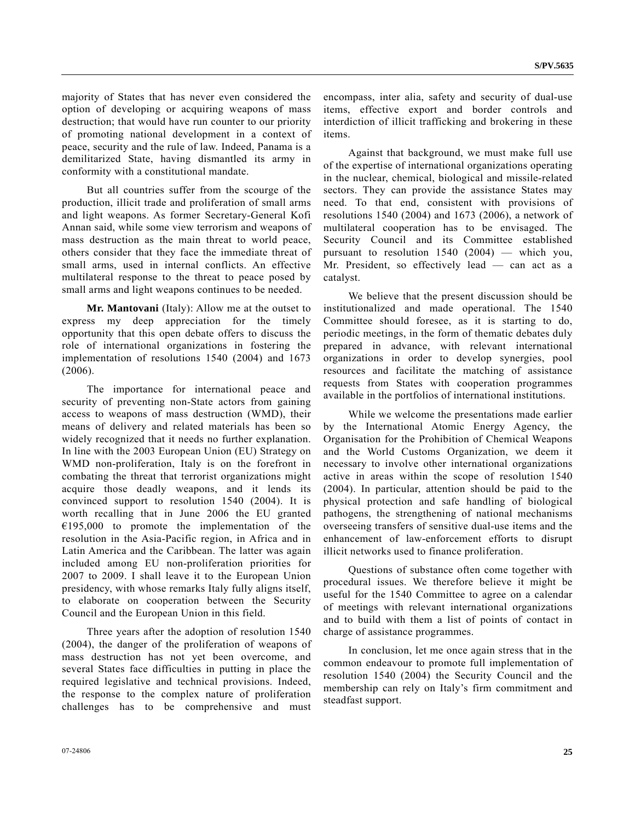majority of States that has never even considered the option of developing or acquiring weapons of mass destruction; that would have run counter to our priority of promoting national development in a context of peace, security and the rule of law. Indeed, Panama is a demilitarized State, having dismantled its army in conformity with a constitutional mandate.

 But all countries suffer from the scourge of the production, illicit trade and proliferation of small arms and light weapons. As former Secretary-General Kofi Annan said, while some view terrorism and weapons of mass destruction as the main threat to world peace, others consider that they face the immediate threat of small arms, used in internal conflicts. An effective multilateral response to the threat to peace posed by small arms and light weapons continues to be needed.

**Mr. Mantovani** (Italy): Allow me at the outset to express my deep appreciation for the timely opportunity that this open debate offers to discuss the role of international organizations in fostering the implementation of resolutions 1540 (2004) and 1673 (2006).

 The importance for international peace and security of preventing non-State actors from gaining access to weapons of mass destruction (WMD), their means of delivery and related materials has been so widely recognized that it needs no further explanation. In line with the 2003 European Union (EU) Strategy on WMD non-proliferation, Italy is on the forefront in combating the threat that terrorist organizations might acquire those deadly weapons, and it lends its convinced support to resolution 1540 (2004). It is worth recalling that in June 2006 the EU granted  $€195,000$  to promote the implementation of the resolution in the Asia-Pacific region, in Africa and in Latin America and the Caribbean. The latter was again included among EU non-proliferation priorities for 2007 to 2009. I shall leave it to the European Union presidency, with whose remarks Italy fully aligns itself, to elaborate on cooperation between the Security Council and the European Union in this field.

 Three years after the adoption of resolution 1540 (2004), the danger of the proliferation of weapons of mass destruction has not yet been overcome, and several States face difficulties in putting in place the required legislative and technical provisions. Indeed, the response to the complex nature of proliferation challenges has to be comprehensive and must

encompass, inter alia, safety and security of dual-use items, effective export and border controls and interdiction of illicit trafficking and brokering in these items.

 Against that background, we must make full use of the expertise of international organizations operating in the nuclear, chemical, biological and missile-related sectors. They can provide the assistance States may need. To that end, consistent with provisions of resolutions 1540 (2004) and 1673 (2006), a network of multilateral cooperation has to be envisaged. The Security Council and its Committee established pursuant to resolution 1540 (2004) — which you, Mr. President, so effectively lead — can act as a catalyst.

 We believe that the present discussion should be institutionalized and made operational. The 1540 Committee should foresee, as it is starting to do, periodic meetings, in the form of thematic debates duly prepared in advance, with relevant international organizations in order to develop synergies, pool resources and facilitate the matching of assistance requests from States with cooperation programmes available in the portfolios of international institutions.

 While we welcome the presentations made earlier by the International Atomic Energy Agency, the Organisation for the Prohibition of Chemical Weapons and the World Customs Organization, we deem it necessary to involve other international organizations active in areas within the scope of resolution 1540 (2004). In particular, attention should be paid to the physical protection and safe handling of biological pathogens, the strengthening of national mechanisms overseeing transfers of sensitive dual-use items and the enhancement of law-enforcement efforts to disrupt illicit networks used to finance proliferation.

 Questions of substance often come together with procedural issues. We therefore believe it might be useful for the 1540 Committee to agree on a calendar of meetings with relevant international organizations and to build with them a list of points of contact in charge of assistance programmes.

 In conclusion, let me once again stress that in the common endeavour to promote full implementation of resolution 1540 (2004) the Security Council and the membership can rely on Italy's firm commitment and steadfast support.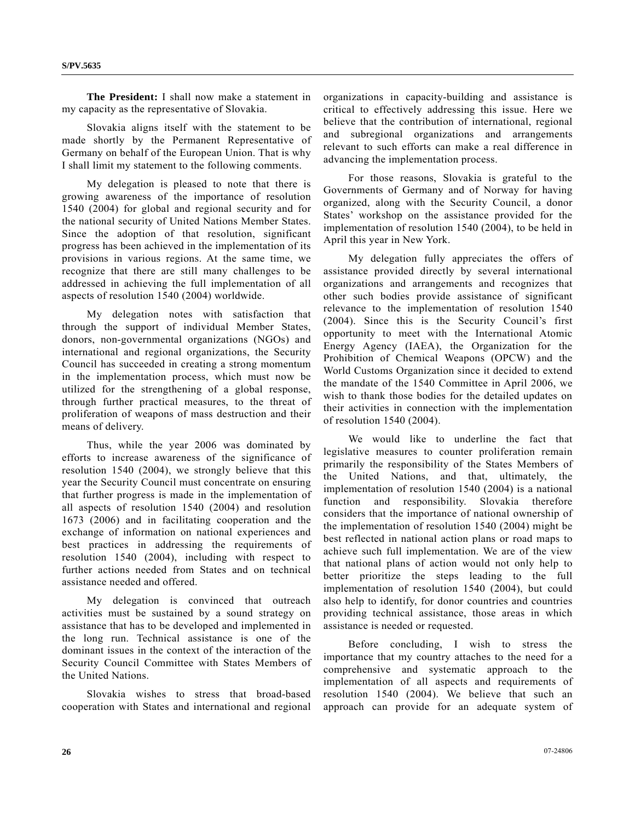**The President:** I shall now make a statement in my capacity as the representative of Slovakia.

 Slovakia aligns itself with the statement to be made shortly by the Permanent Representative of Germany on behalf of the European Union. That is why I shall limit my statement to the following comments.

 My delegation is pleased to note that there is growing awareness of the importance of resolution 1540 (2004) for global and regional security and for the national security of United Nations Member States. Since the adoption of that resolution, significant progress has been achieved in the implementation of its provisions in various regions. At the same time, we recognize that there are still many challenges to be addressed in achieving the full implementation of all aspects of resolution 1540 (2004) worldwide.

 My delegation notes with satisfaction that through the support of individual Member States, donors, non-governmental organizations (NGOs) and international and regional organizations, the Security Council has succeeded in creating a strong momentum in the implementation process, which must now be utilized for the strengthening of a global response, through further practical measures, to the threat of proliferation of weapons of mass destruction and their means of delivery.

 Thus, while the year 2006 was dominated by efforts to increase awareness of the significance of resolution 1540 (2004), we strongly believe that this year the Security Council must concentrate on ensuring that further progress is made in the implementation of all aspects of resolution 1540 (2004) and resolution 1673 (2006) and in facilitating cooperation and the exchange of information on national experiences and best practices in addressing the requirements of resolution 1540 (2004), including with respect to further actions needed from States and on technical assistance needed and offered.

 My delegation is convinced that outreach activities must be sustained by a sound strategy on assistance that has to be developed and implemented in the long run. Technical assistance is one of the dominant issues in the context of the interaction of the Security Council Committee with States Members of the United Nations.

 Slovakia wishes to stress that broad-based cooperation with States and international and regional organizations in capacity-building and assistance is critical to effectively addressing this issue. Here we believe that the contribution of international, regional and subregional organizations and arrangements relevant to such efforts can make a real difference in advancing the implementation process.

 For those reasons, Slovakia is grateful to the Governments of Germany and of Norway for having organized, along with the Security Council, a donor States' workshop on the assistance provided for the implementation of resolution 1540 (2004), to be held in April this year in New York.

 My delegation fully appreciates the offers of assistance provided directly by several international organizations and arrangements and recognizes that other such bodies provide assistance of significant relevance to the implementation of resolution 1540 (2004). Since this is the Security Council's first opportunity to meet with the International Atomic Energy Agency (IAEA), the Organization for the Prohibition of Chemical Weapons (OPCW) and the World Customs Organization since it decided to extend the mandate of the 1540 Committee in April 2006, we wish to thank those bodies for the detailed updates on their activities in connection with the implementation of resolution 1540 (2004).

 We would like to underline the fact that legislative measures to counter proliferation remain primarily the responsibility of the States Members of the United Nations, and that, ultimately, the implementation of resolution 1540 (2004) is a national function and responsibility. Slovakia therefore considers that the importance of national ownership of the implementation of resolution 1540 (2004) might be best reflected in national action plans or road maps to achieve such full implementation. We are of the view that national plans of action would not only help to better prioritize the steps leading to the full implementation of resolution 1540 (2004), but could also help to identify, for donor countries and countries providing technical assistance, those areas in which assistance is needed or requested.

 Before concluding, I wish to stress the importance that my country attaches to the need for a comprehensive and systematic approach to the implementation of all aspects and requirements of resolution 1540 (2004). We believe that such an approach can provide for an adequate system of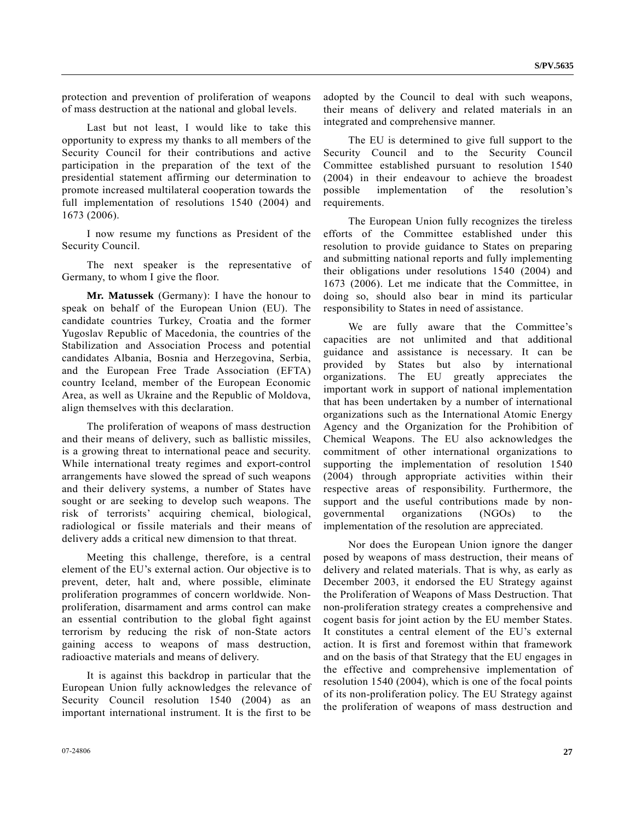protection and prevention of proliferation of weapons of mass destruction at the national and global levels.

 Last but not least, I would like to take this opportunity to express my thanks to all members of the Security Council for their contributions and active participation in the preparation of the text of the presidential statement affirming our determination to promote increased multilateral cooperation towards the full implementation of resolutions 1540 (2004) and 1673 (2006).

 I now resume my functions as President of the Security Council.

 The next speaker is the representative of Germany, to whom I give the floor.

**Mr. Matussek** (Germany): I have the honour to speak on behalf of the European Union (EU). The candidate countries Turkey, Croatia and the former Yugoslav Republic of Macedonia, the countries of the Stabilization and Association Process and potential candidates Albania, Bosnia and Herzegovina, Serbia, and the European Free Trade Association (EFTA) country Iceland, member of the European Economic Area, as well as Ukraine and the Republic of Moldova, align themselves with this declaration.

 The proliferation of weapons of mass destruction and their means of delivery, such as ballistic missiles, is a growing threat to international peace and security. While international treaty regimes and export-control arrangements have slowed the spread of such weapons and their delivery systems, a number of States have sought or are seeking to develop such weapons. The risk of terrorists' acquiring chemical, biological, radiological or fissile materials and their means of delivery adds a critical new dimension to that threat.

 Meeting this challenge, therefore, is a central element of the EU's external action. Our objective is to prevent, deter, halt and, where possible, eliminate proliferation programmes of concern worldwide. Nonproliferation, disarmament and arms control can make an essential contribution to the global fight against terrorism by reducing the risk of non-State actors gaining access to weapons of mass destruction, radioactive materials and means of delivery.

 It is against this backdrop in particular that the European Union fully acknowledges the relevance of Security Council resolution 1540 (2004) as an important international instrument. It is the first to be

adopted by the Council to deal with such weapons, their means of delivery and related materials in an integrated and comprehensive manner.

 The EU is determined to give full support to the Security Council and to the Security Council Committee established pursuant to resolution 1540 (2004) in their endeavour to achieve the broadest possible implementation of the resolution's requirements.

 The European Union fully recognizes the tireless efforts of the Committee established under this resolution to provide guidance to States on preparing and submitting national reports and fully implementing their obligations under resolutions 1540 (2004) and 1673 (2006). Let me indicate that the Committee, in doing so, should also bear in mind its particular responsibility to States in need of assistance.

 We are fully aware that the Committee's capacities are not unlimited and that additional guidance and assistance is necessary. It can be provided by States but also by international organizations. The EU greatly appreciates the important work in support of national implementation that has been undertaken by a number of international organizations such as the International Atomic Energy Agency and the Organization for the Prohibition of Chemical Weapons. The EU also acknowledges the commitment of other international organizations to supporting the implementation of resolution 1540 (2004) through appropriate activities within their respective areas of responsibility. Furthermore, the support and the useful contributions made by nongovernmental organizations (NGOs) to the implementation of the resolution are appreciated.

 Nor does the European Union ignore the danger posed by weapons of mass destruction, their means of delivery and related materials. That is why, as early as December 2003, it endorsed the EU Strategy against the Proliferation of Weapons of Mass Destruction. That non-proliferation strategy creates a comprehensive and cogent basis for joint action by the EU member States. It constitutes a central element of the EU's external action. It is first and foremost within that framework and on the basis of that Strategy that the EU engages in the effective and comprehensive implementation of resolution 1540 (2004), which is one of the focal points of its non-proliferation policy. The EU Strategy against the proliferation of weapons of mass destruction and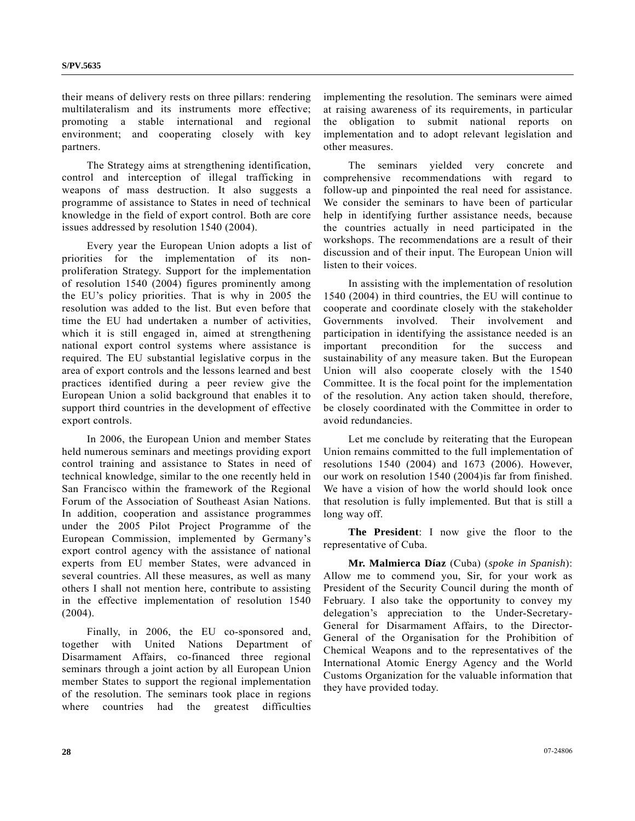their means of delivery rests on three pillars: rendering multilateralism and its instruments more effective; promoting a stable international and regional environment; and cooperating closely with key partners.

 The Strategy aims at strengthening identification, control and interception of illegal trafficking in weapons of mass destruction. It also suggests a programme of assistance to States in need of technical knowledge in the field of export control. Both are core issues addressed by resolution 1540 (2004).

 Every year the European Union adopts a list of priorities for the implementation of its nonproliferation Strategy. Support for the implementation of resolution 1540 (2004) figures prominently among the EU's policy priorities. That is why in 2005 the resolution was added to the list. But even before that time the EU had undertaken a number of activities, which it is still engaged in, aimed at strengthening national export control systems where assistance is required. The EU substantial legislative corpus in the area of export controls and the lessons learned and best practices identified during a peer review give the European Union a solid background that enables it to support third countries in the development of effective export controls.

 In 2006, the European Union and member States held numerous seminars and meetings providing export control training and assistance to States in need of technical knowledge, similar to the one recently held in San Francisco within the framework of the Regional Forum of the Association of Southeast Asian Nations. In addition, cooperation and assistance programmes under the 2005 Pilot Project Programme of the European Commission, implemented by Germany's export control agency with the assistance of national experts from EU member States, were advanced in several countries. All these measures, as well as many others I shall not mention here, contribute to assisting in the effective implementation of resolution 1540 (2004).

 Finally, in 2006, the EU co-sponsored and, together with United Nations Department of Disarmament Affairs, co-financed three regional seminars through a joint action by all European Union member States to support the regional implementation of the resolution. The seminars took place in regions where countries had the greatest difficulties

implementing the resolution. The seminars were aimed at raising awareness of its requirements, in particular the obligation to submit national reports on implementation and to adopt relevant legislation and other measures.

 The seminars yielded very concrete and comprehensive recommendations with regard to follow-up and pinpointed the real need for assistance. We consider the seminars to have been of particular help in identifying further assistance needs, because the countries actually in need participated in the workshops. The recommendations are a result of their discussion and of their input. The European Union will listen to their voices.

 In assisting with the implementation of resolution 1540 (2004) in third countries, the EU will continue to cooperate and coordinate closely with the stakeholder Governments involved. Their involvement and participation in identifying the assistance needed is an important precondition for the success and sustainability of any measure taken. But the European Union will also cooperate closely with the 1540 Committee. It is the focal point for the implementation of the resolution. Any action taken should, therefore, be closely coordinated with the Committee in order to avoid redundancies.

 Let me conclude by reiterating that the European Union remains committed to the full implementation of resolutions 1540 (2004) and 1673 (2006). However, our work on resolution 1540 (2004)is far from finished. We have a vision of how the world should look once that resolution is fully implemented. But that is still a long way off.

**The President**: I now give the floor to the representative of Cuba.

**Mr. Malmierca Díaz** (Cuba) (*spoke in Spanish*): Allow me to commend you, Sir, for your work as President of the Security Council during the month of February. I also take the opportunity to convey my delegation's appreciation to the Under-Secretary-General for Disarmament Affairs, to the Director-General of the Organisation for the Prohibition of Chemical Weapons and to the representatives of the International Atomic Energy Agency and the World Customs Organization for the valuable information that they have provided today.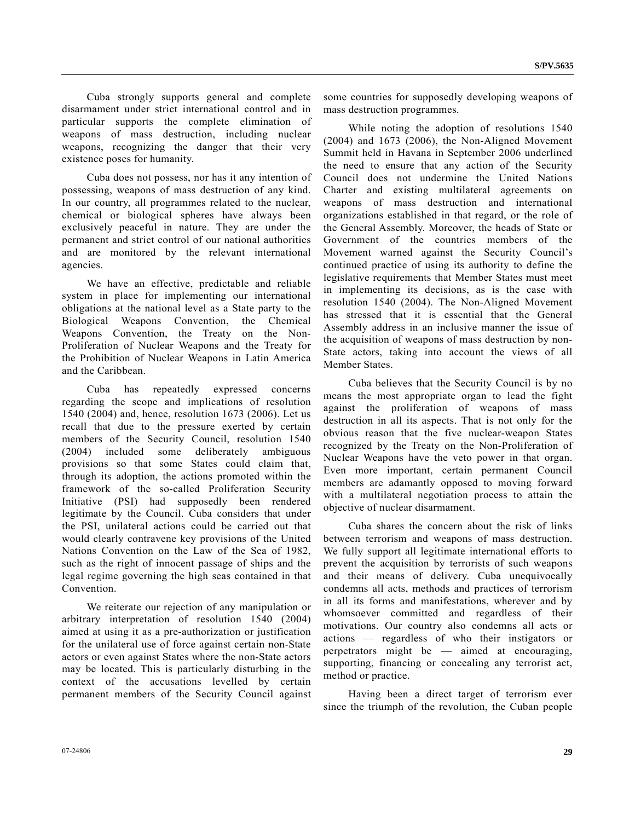Cuba strongly supports general and complete disarmament under strict international control and in particular supports the complete elimination of weapons of mass destruction, including nuclear weapons, recognizing the danger that their very existence poses for humanity.

 Cuba does not possess, nor has it any intention of possessing, weapons of mass destruction of any kind. In our country, all programmes related to the nuclear, chemical or biological spheres have always been exclusively peaceful in nature. They are under the permanent and strict control of our national authorities and are monitored by the relevant international agencies.

 We have an effective, predictable and reliable system in place for implementing our international obligations at the national level as a State party to the Biological Weapons Convention, the Chemical Weapons Convention, the Treaty on the Non-Proliferation of Nuclear Weapons and the Treaty for the Prohibition of Nuclear Weapons in Latin America and the Caribbean.

 Cuba has repeatedly expressed concerns regarding the scope and implications of resolution 1540 (2004) and, hence, resolution 1673 (2006). Let us recall that due to the pressure exerted by certain members of the Security Council, resolution 1540 (2004) included some deliberately ambiguous provisions so that some States could claim that, through its adoption, the actions promoted within the framework of the so-called Proliferation Security Initiative (PSI) had supposedly been rendered legitimate by the Council. Cuba considers that under the PSI, unilateral actions could be carried out that would clearly contravene key provisions of the United Nations Convention on the Law of the Sea of 1982, such as the right of innocent passage of ships and the legal regime governing the high seas contained in that Convention.

 We reiterate our rejection of any manipulation or arbitrary interpretation of resolution 1540 (2004) aimed at using it as a pre-authorization or justification for the unilateral use of force against certain non-State actors or even against States where the non-State actors may be located. This is particularly disturbing in the context of the accusations levelled by certain permanent members of the Security Council against some countries for supposedly developing weapons of mass destruction programmes.

 While noting the adoption of resolutions 1540 (2004) and 1673 (2006), the Non-Aligned Movement Summit held in Havana in September 2006 underlined the need to ensure that any action of the Security Council does not undermine the United Nations Charter and existing multilateral agreements on weapons of mass destruction and international organizations established in that regard, or the role of the General Assembly. Moreover, the heads of State or Government of the countries members of the Movement warned against the Security Council's continued practice of using its authority to define the legislative requirements that Member States must meet in implementing its decisions, as is the case with resolution 1540 (2004). The Non-Aligned Movement has stressed that it is essential that the General Assembly address in an inclusive manner the issue of the acquisition of weapons of mass destruction by non-State actors, taking into account the views of all Member States.

 Cuba believes that the Security Council is by no means the most appropriate organ to lead the fight against the proliferation of weapons of mass destruction in all its aspects. That is not only for the obvious reason that the five nuclear-weapon States recognized by the Treaty on the Non-Proliferation of Nuclear Weapons have the veto power in that organ. Even more important, certain permanent Council members are adamantly opposed to moving forward with a multilateral negotiation process to attain the objective of nuclear disarmament.

 Cuba shares the concern about the risk of links between terrorism and weapons of mass destruction. We fully support all legitimate international efforts to prevent the acquisition by terrorists of such weapons and their means of delivery. Cuba unequivocally condemns all acts, methods and practices of terrorism in all its forms and manifestations, wherever and by whomsoever committed and regardless of their motivations. Our country also condemns all acts or actions — regardless of who their instigators or perpetrators might be — aimed at encouraging, supporting, financing or concealing any terrorist act, method or practice.

 Having been a direct target of terrorism ever since the triumph of the revolution, the Cuban people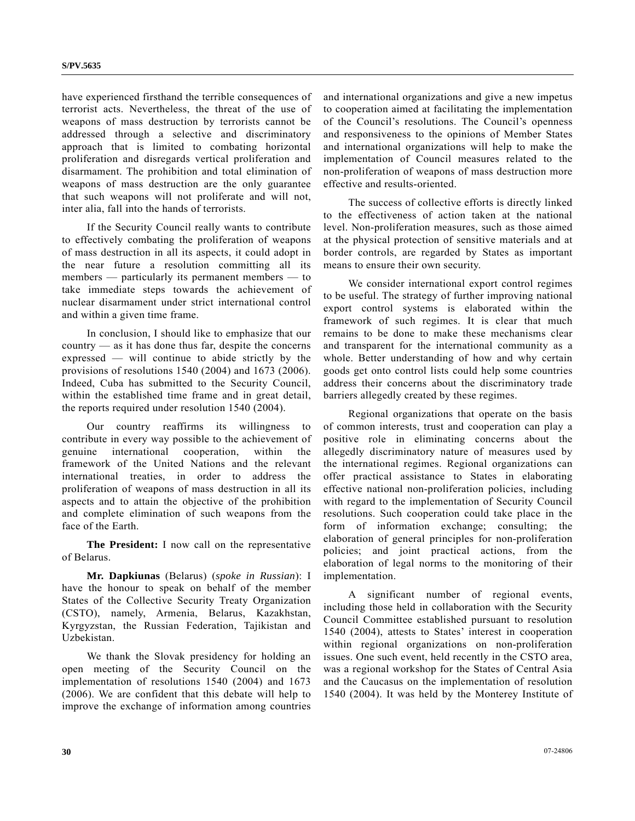have experienced firsthand the terrible consequences of terrorist acts. Nevertheless, the threat of the use of weapons of mass destruction by terrorists cannot be addressed through a selective and discriminatory approach that is limited to combating horizontal proliferation and disregards vertical proliferation and disarmament. The prohibition and total elimination of weapons of mass destruction are the only guarantee that such weapons will not proliferate and will not, inter alia, fall into the hands of terrorists.

 If the Security Council really wants to contribute to effectively combating the proliferation of weapons of mass destruction in all its aspects, it could adopt in the near future a resolution committing all its members — particularly its permanent members — to take immediate steps towards the achievement of nuclear disarmament under strict international control and within a given time frame.

 In conclusion, I should like to emphasize that our country — as it has done thus far, despite the concerns expressed — will continue to abide strictly by the provisions of resolutions 1540 (2004) and 1673 (2006). Indeed, Cuba has submitted to the Security Council, within the established time frame and in great detail, the reports required under resolution 1540 (2004).

 Our country reaffirms its willingness to contribute in every way possible to the achievement of genuine international cooperation, within the framework of the United Nations and the relevant international treaties, in order to address the proliferation of weapons of mass destruction in all its aspects and to attain the objective of the prohibition and complete elimination of such weapons from the face of the Earth.

 **The President:** I now call on the representative of Belarus.

 **Mr. Dapkiunas** (Belarus) (*spoke in Russian*): I have the honour to speak on behalf of the member States of the Collective Security Treaty Organization (CSTO), namely, Armenia, Belarus, Kazakhstan, Kyrgyzstan, the Russian Federation, Tajikistan and Uzbekistan.

 We thank the Slovak presidency for holding an open meeting of the Security Council on the implementation of resolutions 1540 (2004) and 1673 (2006). We are confident that this debate will help to improve the exchange of information among countries and international organizations and give a new impetus to cooperation aimed at facilitating the implementation of the Council's resolutions. The Council's openness and responsiveness to the opinions of Member States and international organizations will help to make the implementation of Council measures related to the non-proliferation of weapons of mass destruction more effective and results-oriented.

 The success of collective efforts is directly linked to the effectiveness of action taken at the national level. Non-proliferation measures, such as those aimed at the physical protection of sensitive materials and at border controls, are regarded by States as important means to ensure their own security.

 We consider international export control regimes to be useful. The strategy of further improving national export control systems is elaborated within the framework of such regimes. It is clear that much remains to be done to make these mechanisms clear and transparent for the international community as a whole. Better understanding of how and why certain goods get onto control lists could help some countries address their concerns about the discriminatory trade barriers allegedly created by these regimes.

 Regional organizations that operate on the basis of common interests, trust and cooperation can play a positive role in eliminating concerns about the allegedly discriminatory nature of measures used by the international regimes. Regional organizations can offer practical assistance to States in elaborating effective national non-proliferation policies, including with regard to the implementation of Security Council resolutions. Such cooperation could take place in the form of information exchange; consulting; the elaboration of general principles for non-proliferation policies; and joint practical actions, from the elaboration of legal norms to the monitoring of their implementation.

 A significant number of regional events, including those held in collaboration with the Security Council Committee established pursuant to resolution 1540 (2004), attests to States' interest in cooperation within regional organizations on non-proliferation issues. One such event, held recently in the CSTO area, was a regional workshop for the States of Central Asia and the Caucasus on the implementation of resolution 1540 (2004). It was held by the Monterey Institute of